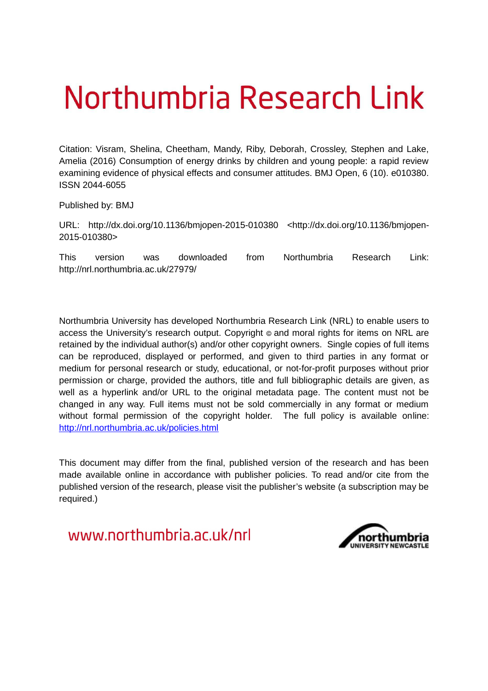# Northumbria Research Link

Citation: Visram, Shelina, Cheetham, Mandy, Riby, Deborah, Crossley, Stephen and Lake, Amelia (2016) Consumption of energy drinks by children and young people: a rapid review examining evidence of physical effects and consumer attitudes. BMJ Open, 6 (10). e010380. ISSN 2044-6055

Published by: BMJ

URL: http://dx.doi.org/10.1136/bmjopen-2015-010380 <http://dx.doi.org/10.1136/bmjopen-2015-010380>

This version was downloaded from Northumbria Research Link: http://nrl.northumbria.ac.uk/27979/

Northumbria University has developed Northumbria Research Link (NRL) to enable users to access the University's research output. Copyright  $\circ$  and moral rights for items on NRL are retained by the individual author(s) and/or other copyright owners. Single copies of full items can be reproduced, displayed or performed, and given to third parties in any format or medium for personal research or study, educational, or not-for-profit purposes without prior permission or charge, provided the authors, title and full bibliographic details are given, as well as a hyperlink and/or URL to the original metadata page. The content must not be changed in any way. Full items must not be sold commercially in any format or medium without formal permission of the copyright holder. The full policy is available online: <http://nrl.northumbria.ac.uk/policies.html>

This document may differ from the final, published version of the research and has been made available online in accordance with publisher policies. To read and/or cite from the published version of the research, please visit the publisher's website (a subscription may be required.)

www.northumbria.ac.uk/nrl

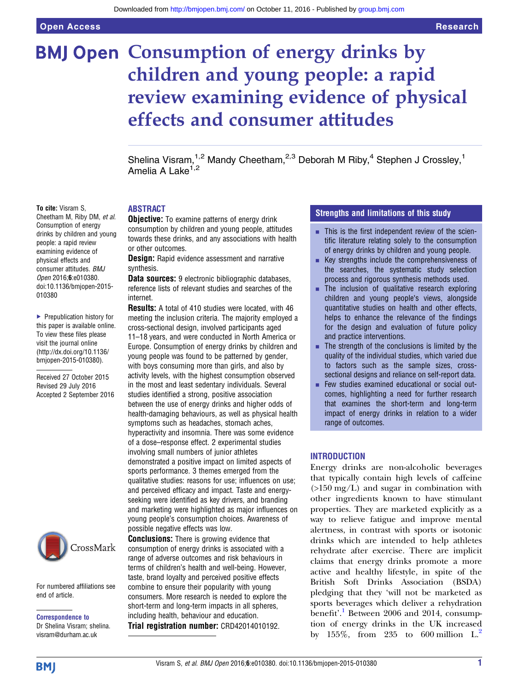## <span id="page-1-0"></span>**BMJ Open Consumption of energy drinks by** children and young people: a rapid review examining evidence of physical effects and consumer attitudes

Shelina Visram,<sup>1,2</sup> Mandy Cheetham,<sup>2,3</sup> Deborah M Riby,<sup>4</sup> Stephen J Crossley,<sup>1</sup> Amelia A Lake<sup>1,2</sup>

#### To cite: Visram S.

Cheetham M, Riby DM, et al. Consumption of energy drinks by children and young people: a rapid review examining evidence of physical effects and consumer attitudes. BMJ Open 2016;6:e010380. doi:10.1136/bmjopen-2015- 010380

▶ Prepublication history for this paper is available online. To view these files please visit the journal online [\(http://dx.doi.org/10.1136/](http://dx.doi.org/10.1136/bmjopen-2015-010380) [bmjopen-2015-010380](http://dx.doi.org/10.1136/bmjopen-2015-010380)).

Received 27 October 2015 Revised 29 July 2016 Accepted 2 September 2016



For numbered affiliations see end of article.

Correspondence to Dr Shelina Visram; shelina. visram@durham.ac.uk

#### ABSTRACT

**Objective:** To examine patterns of energy drink consumption by children and young people, attitudes towards these drinks, and any associations with health or other outcomes.

**Design:** Rapid evidence assessment and narrative synthesis.

Data sources: 9 electronic bibliographic databases, reference lists of relevant studies and searches of the internet.

Results: A total of 410 studies were located, with 46 meeting the inclusion criteria. The majority employed a cross-sectional design, involved participants aged 11–18 years, and were conducted in North America or Europe. Consumption of energy drinks by children and young people was found to be patterned by gender, with boys consuming more than girls, and also by activity levels, with the highest consumption observed in the most and least sedentary individuals. Several studies identified a strong, positive association between the use of energy drinks and higher odds of health-damaging behaviours, as well as physical health symptoms such as headaches, stomach aches, hyperactivity and insomnia. There was some evidence of a dose–response effect. 2 experimental studies involving small numbers of junior athletes demonstrated a positive impact on limited aspects of sports performance. 3 themes emerged from the qualitative studies: reasons for use; influences on use; and perceived efficacy and impact. Taste and energyseeking were identified as key drivers, and branding and marketing were highlighted as major influences on young people's consumption choices. Awareness of possible negative effects was low.

**Conclusions:** There is growing evidence that consumption of energy drinks is associated with a range of adverse outcomes and risk behaviours in terms of children's health and well-being. However, taste, brand loyalty and perceived positive effects combine to ensure their popularity with young consumers. More research is needed to explore the short-term and long-term impacts in all spheres, including health, behaviour and education. Trial registration number: CRD42014010192.

#### Strengths and limitations of this study

- **EXECUTE:** This is the first independent review of the scientific literature relating solely to the consumption of energy drinks by children and young people.
- $\blacksquare$  Key strengths include the comprehensiveness of the searches, the systematic study selection process and rigorous synthesis methods used.
- $\blacksquare$  The inclusion of qualitative research exploring children and young people's views, alongside quantitative studies on health and other effects, helps to enhance the relevance of the findings for the design and evaluation of future policy and practice interventions.
- $\blacksquare$  The strength of the conclusions is limited by the quality of the individual studies, which varied due to factors such as the sample sizes, crosssectional designs and reliance on self-report data.
- $\blacksquare$  Few studies examined educational or social outcomes, highlighting a need for further research that examines the short-term and long-term impact of energy drinks in relation to a wider range of outcomes.

#### INTRODUCTION

Energy drinks are non-alcoholic beverages that typically contain high levels of caffeine  $(>150 \text{ mg/L})$  and sugar in combination with other ingredients known to have stimulant properties. They are marketed explicitly as a way to relieve fatigue and improve mental alertness, in contrast with sports or isotonic drinks which are intended to help athletes rehydrate after exercise. There are implicit claims that energy drinks promote a more active and healthy lifestyle, in spite of the British Soft Drinks Association (BSDA) pledging that they 'will not be marketed as sports beverages which deliver a rehydration benefit'.<sup>[1](#page-21-0)</sup> Between 2006 and 2014, consumption of energy drinks in the UK increased by 155%, from [2](#page-21-0)35 to 600 million  $L^2$ .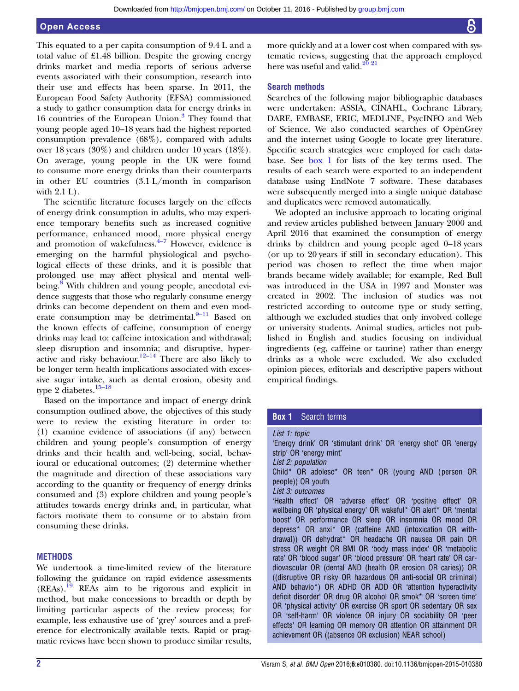#### <span id="page-2-0"></span>Open Access

This equated to a per capita consumption of 9.4 L and a total value of £1.48 billion. Despite the growing energy drinks market and media reports of serious adverse events associated with their consumption, research into their use and effects has been sparse. In 2011, the European Food Safety Authority (EFSA) commissioned a study to gather consumption data for energy drinks in 16 countries of the European Union.<sup>[3](#page-21-0)</sup> They found that young people aged 10–18 years had the highest reported consumption prevalence (68%), compared with adults over 18 years (30%) and children under 10 years (18%). On average, young people in the UK were found to consume more energy drinks than their counterparts in other EU countries (3.1 L/month in comparison with 2.1 L).

The scientific literature focuses largely on the effects of energy drink consumption in adults, who may experience temporary benefits such as increased cognitive performance, enhanced mood, more physical energy and promotion of wakefulness. $4\frac{4}{7}$  $4\frac{4}{7}$  However, evidence is emerging on the harmful physiological and psychological effects of these drinks, and it is possible that prolonged use may affect physical and mental well-being.<sup>[8](#page-21-0)</sup> With children and young people, anecdotal evidence suggests that those who regularly consume energy drinks can become dependent on them and even moderate consumption may be detrimental. $9-11$  $9-11$  Based on the known effects of caffeine, consumption of energy drinks may lead to: caffeine intoxication and withdrawal; sleep disruption and insomnia; and disruptive, hyper-active and risky behaviour.<sup>12–[14](#page-21-0)</sup> There are also likely to be longer term health implications associated with excessive sugar intake, such as dental erosion, obesity and type 2 diabetes.<sup>15–[18](#page-21-0)</sup>

Based on the importance and impact of energy drink consumption outlined above, the objectives of this study were to review the existing literature in order to: (1) examine evidence of associations (if any) between children and young people's consumption of energy drinks and their health and well-being, social, behavioural or educational outcomes; (2) determine whether the magnitude and direction of these associations vary according to the quantity or frequency of energy drinks consumed and (3) explore children and young people's attitudes towards energy drinks and, in particular, what factors motivate them to consume or to abstain from consuming these drinks.

#### **METHODS**

We undertook a time-limited review of the literature following the guidance on rapid evidence assessments  $(REAs).$ <sup>[19](#page-21-0)</sup> REAs aim to be rigorous and explicit in method, but make concessions to breadth or depth by limiting particular aspects of the review process; for example, less exhaustive use of 'grey' sources and a preference for electronically available texts. Rapid or pragmatic reviews have been shown to produce similar results,

more quickly and at a lower cost when compared with systematic reviews, suggesting that the approach employed here was useful and valid. $2^{0}$   $2^{1}$ 

#### Search methods

Searches of the following major bibliographic databases were undertaken: ASSIA, CINAHL, Cochrane Library, DARE, EMBASE, ERIC, MEDLINE, PsycINFO and Web of Science. We also conducted searches of OpenGrey and the internet using Google to locate grey literature. Specific search strategies were employed for each database. See [box 1](#page-1-0) for lists of the key terms used. The results of each search were exported to an independent database using EndNote 7 software. These databases were subsequently merged into a single unique database and duplicates were removed automatically.

We adopted an inclusive approach to locating original and review articles published between January 2000 and April 2016 that examined the consumption of energy drinks by children and young people aged 0–18 years (or up to 20 years if still in secondary education). This period was chosen to reflect the time when major brands became widely available; for example, Red Bull was introduced in the USA in 1997 and Monster was created in 2002. The inclusion of studies was not restricted according to outcome type or study setting, although we excluded studies that only involved college or university students. Animal studies, articles not published in English and studies focusing on individual ingredients (eg, caffeine or taurine) rather than energy drinks as a whole were excluded. We also excluded opinion pieces, editorials and descriptive papers without empirical findings.

#### **Box 1** Search terms

List 1: topic 'Energy drink' OR 'stimulant drink' OR 'energy shot' OR 'energy strip' OR 'energy mint' List 2: population Child\* OR adolesc\* OR teen\* OR (young AND ( person OR people)) OR youth List 3: outcomes 'Health effect' OR 'adverse effect' OR 'positive effect' OR wellbeing OR 'physical energy' OR wakeful\* OR alert\* OR 'mental boost' OR performance OR sleep OR insomnia OR mood OR depress\* OR anxi\* OR (caffeine AND (intoxication OR withdrawal)) OR dehydrat\* OR headache OR nausea OR pain OR stress OR weight OR BMI OR 'body mass index' OR 'metabolic rate' OR 'blood sugar' OR 'blood pressure' OR 'heart rate' OR cardiovascular OR (dental AND (health OR erosion OR caries)) OR ((disruptive OR risky OR hazardous OR anti-social OR criminal) AND behavio\*) OR ADHD OR ADD OR 'attention hyperactivity deficit disorder' OR drug OR alcohol OR smok\* OR 'screen time' OR 'physical activity' OR exercise OR sport OR sedentary OR sex OR 'self-harm' OR violence OR injury OR sociability OR 'peer effects' OR learning OR memory OR attention OR attainment OR achievement OR ((absence OR exclusion) NEAR school)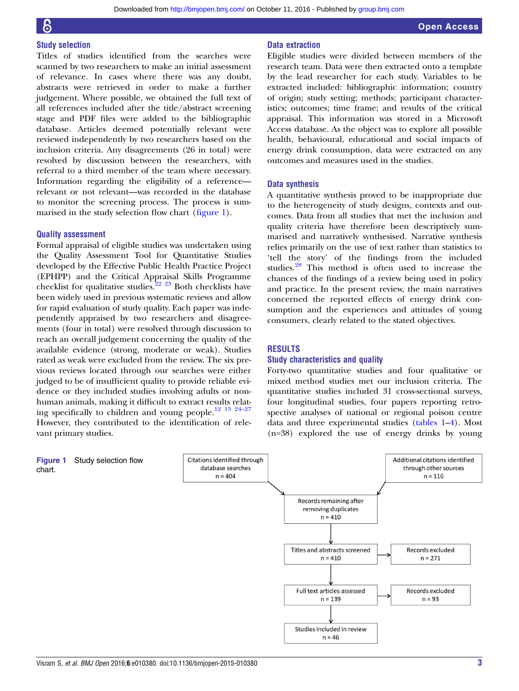#### Study selection

Titles of studies identified from the searches were scanned by two researchers to make an initial assessment of relevance. In cases where there was any doubt, abstracts were retrieved in order to make a further judgement. Where possible, we obtained the full text of all references included after the title/abstract screening stage and PDF files were added to the bibliographic database. Articles deemed potentially relevant were reviewed independently by two researchers based on the inclusion criteria. Any disagreements (26 in total) were resolved by discussion between the researchers, with referral to a third member of the team where necessary. Information regarding the eligibility of a reference relevant or not relevant—was recorded in the database to monitor the screening process. The process is summarised in the study selection flow chart (fi[gure 1](#page-2-0)).

#### Quality assessment

Formal appraisal of eligible studies was undertaken using the Quality Assessment Tool for Quantitative Studies developed by the Effective Public Health Practice Project (EPHPP) and the Critical Appraisal Skills Programme checklist for qualitative studies.<sup>22</sup> <sup>23</sup> Both checklists have been widely used in previous systematic reviews and allow for rapid evaluation of study quality. Each paper was independently appraised by two researchers and disagreements (four in total) were resolved through discussion to reach an overall judgement concerning the quality of the available evidence (strong, moderate or weak). Studies rated as weak were excluded from the review. The six previous reviews located through our searches were either judged to be of insufficient quality to provide reliable evidence or they included studies involving adults or nonhuman animals, making it difficult to extract results relating specifically to children and young people.[12 13 24](#page-21-0)–<sup>27</sup> However, they contributed to the identification of relevant primary studies.

#### Data extraction

Eligible studies were divided between members of the research team. Data were then extracted onto a template by the lead researcher for each study. Variables to be extracted included: bibliographic information; country of origin; study setting; methods; participant characteristics; outcomes; time frame; and results of the critical appraisal. This information was stored in a Microsoft Access database. As the object was to explore all possible health, behavioural, educational and social impacts of energy drink consumption, data were extracted on any outcomes and measures used in the studies.

#### Data synthesis

A quantitative synthesis proved to be inappropriate due to the heterogeneity of study designs, contexts and outcomes. Data from all studies that met the inclusion and quality criteria have therefore been descriptively summarised and narratively synthesised. Narrative synthesis relies primarily on the use of text rather than statistics to 'tell the story' of the findings from the included studies.[28](#page-21-0) This method is often used to increase the chances of the findings of a review being used in policy and practice. In the present review, the main narratives concerned the reported effects of energy drink consumption and the experiences and attitudes of young consumers, clearly related to the stated objectives.

#### RESULTS

#### Study characteristics and quality

Forty-two quantitative studies and four qualitative or mixed method studies met our inclusion criteria. The quantitative studies included 31 cross-sectional surveys, four longitudinal studies, four papers reporting retrospective analyses of national or regional poison centre data and three experimental studies (tables 1–[4](#page-15-0)). Most (n=38) explored the use of energy drinks by young

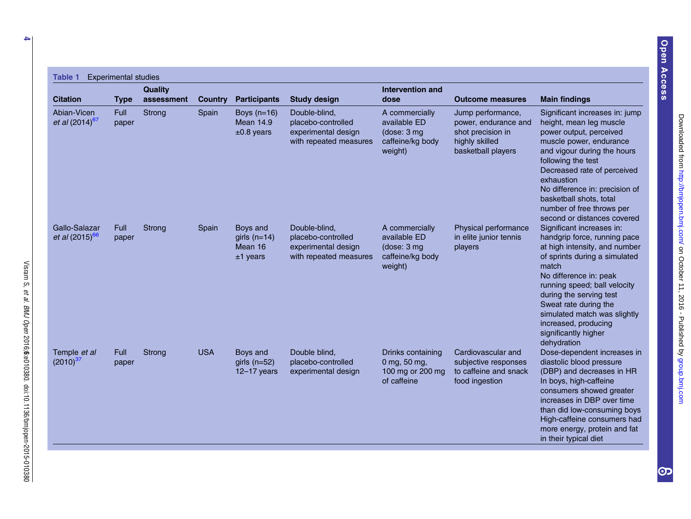| <b>Citation</b>                             | <b>Type</b>          | <b>Quality</b><br>assessment | <b>Country</b> | <b>Participants</b>                                 | <b>Study design</b>                                                                  | Intervention and<br>dose                                                      | <b>Outcome measures</b>                                                                                | <b>Main findings</b>                                                                                                                                                                                                                                                                                                                              |
|---------------------------------------------|----------------------|------------------------------|----------------|-----------------------------------------------------|--------------------------------------------------------------------------------------|-------------------------------------------------------------------------------|--------------------------------------------------------------------------------------------------------|---------------------------------------------------------------------------------------------------------------------------------------------------------------------------------------------------------------------------------------------------------------------------------------------------------------------------------------------------|
| Abian-Vicen<br>et al $(2014)^{67}$          | <b>Full</b><br>paper | Strong                       | Spain          | Boys $(n=16)$<br><b>Mean 14.9</b><br>$±0.8$ years   | Double-blind,<br>placebo-controlled<br>experimental design<br>with repeated measures | A commercially<br>available ED<br>(dose: 3 mg)<br>caffeine/kg body<br>weight) | Jump performance,<br>power, endurance and<br>shot precision in<br>highly skilled<br>basketball players | Significant increases in: jump<br>height, mean leg muscle<br>power output, perceived<br>muscle power, endurance<br>and vigour during the hours<br>following the test<br>Decreased rate of perceived<br>exhaustion<br>No difference in: precision of<br>basketball shots, total<br>number of free throws per<br>second or distances covered        |
| Gallo-Salazar<br>et al (2015) <sup>66</sup> | <b>Full</b><br>paper | Strong                       | Spain          | Boys and<br>girls $(n=14)$<br>Mean 16<br>$±1$ years | Double-blind,<br>placebo-controlled<br>experimental design<br>with repeated measures | A commercially<br>available ED<br>(dose: 3 mg)<br>caffeine/kg body<br>weight) | Physical performance<br>in elite junior tennis<br>players                                              | Significant increases in:<br>handgrip force, running pace<br>at high intensity, and number<br>of sprints during a simulated<br>match<br>No difference in: peak<br>running speed; ball velocity<br>during the serving test<br>Sweat rate during the<br>simulated match was slightly<br>increased, producing<br>significantly higher<br>dehydration |
| Temple et al<br>$(2010)^{37}$               | <b>Full</b><br>paper | Strong                       | <b>USA</b>     | Boys and<br>girls $(n=52)$<br>12-17 years           | Double blind,<br>placebo-controlled<br>experimental design                           | Drinks containing<br>0 mg, 50 mg,<br>100 mg or 200 mg<br>of caffeine          | Cardiovascular and<br>subjective responses<br>to caffeine and snack<br>food ingestion                  | Dose-dependent increases in<br>diastolic blood pressure<br>(DBP) and decreases in HR<br>In boys, high-caffeine<br>consumers showed greater<br>increases in DBP over time<br>than did low-consuming boys<br>High-caffeine consumers had<br>more energy, protein and fat<br>in their typical diet                                                   |

et al.

BMJ Open

2016;6

:e010380. doi:10.1136/bmjopen-2015-010380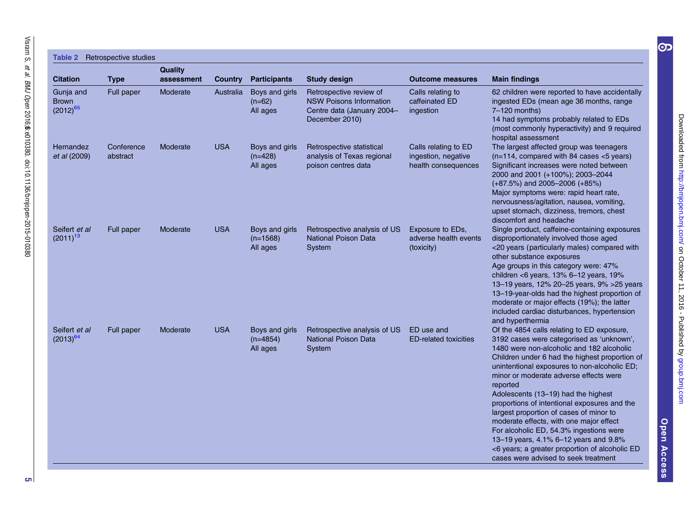| <b>Citation</b>                            | <b>Type</b>            | <b>Quality</b><br>assessment | Country    | <b>Participants</b>                      | <b>Study design</b>                                                                                       | <b>Outcome measures</b>                                            | <b>Main findings</b>                                                                                                                                                                                                                                                                                                                                                                                                                                                                                                                                                                                                                                    |
|--------------------------------------------|------------------------|------------------------------|------------|------------------------------------------|-----------------------------------------------------------------------------------------------------------|--------------------------------------------------------------------|---------------------------------------------------------------------------------------------------------------------------------------------------------------------------------------------------------------------------------------------------------------------------------------------------------------------------------------------------------------------------------------------------------------------------------------------------------------------------------------------------------------------------------------------------------------------------------------------------------------------------------------------------------|
| Gunja and<br><b>Brown</b><br>$(2012)^{65}$ | Full paper             | Moderate                     | Australia  | Boys and girls<br>$(n=62)$<br>All ages   | Retrospective review of<br><b>NSW Poisons Information</b><br>Centre data (January 2004-<br>December 2010) | Calls relating to<br>caffeinated ED<br>ingestion                   | 62 children were reported to have accidentally<br>ingested EDs (mean age 36 months, range<br>7-120 months)<br>14 had symptoms probably related to EDs<br>(most commonly hyperactivity) and 9 required<br>hospital assessment                                                                                                                                                                                                                                                                                                                                                                                                                            |
| Hernandez<br>et al (2009)                  | Conference<br>abstract | Moderate                     | <b>USA</b> | Boys and girls<br>$(n=428)$<br>All ages  | Retrospective statistical<br>analysis of Texas regional<br>poison centres data                            | Calls relating to ED<br>ingestion, negative<br>health consequences | The largest affected group was teenagers<br>$(n=114,$ compared with 84 cases $<$ 5 years)<br>Significant increases were noted between<br>2000 and 2001 (+100%); 2003-2044<br>$(+87.5%)$ and 2005-2006 $(+85%)$<br>Major symptoms were: rapid heart rate,<br>nervousness/agitation, nausea, vomiting,<br>upset stomach, dizziness, tremors, chest<br>discomfort and headache                                                                                                                                                                                                                                                                             |
| Seifert et al<br>$(2011)^{13}$             | Full paper             | Moderate                     | <b>USA</b> | Boys and girls<br>$(n=1568)$<br>All ages | Retrospective analysis of US<br>National Poison Data<br>System                                            | Exposure to EDs,<br>adverse health events<br>(toxicity)            | Single product, caffeine-containing exposures<br>disproportionately involved those aged<br><20 years (particularly males) compared with<br>other substance exposures<br>Age groups in this category were: 47%<br>children <6 years, 13% 6-12 years, 19%<br>13-19 years, 12% 20-25 years, 9% > 25 years<br>13-19-year-olds had the highest proportion of<br>moderate or major effects (19%); the latter<br>included cardiac disturbances, hypertension<br>and hyperthermia                                                                                                                                                                               |
| Seifert et al<br>$(2013)^{64}$             | Full paper             | Moderate                     | <b>USA</b> | Boys and girls<br>$(n=4854)$<br>All ages | Retrospective analysis of US<br><b>National Poison Data</b><br>System                                     | ED use and<br><b>ED-related toxicities</b>                         | Of the 4854 calls relating to ED exposure,<br>3192 cases were categorised as 'unknown',<br>1480 were non-alcoholic and 182 alcoholic<br>Children under 6 had the highest proportion of<br>unintentional exposures to non-alcoholic ED;<br>minor or moderate adverse effects were<br>reported<br>Adolescents (13-19) had the highest<br>proportions of intentional exposures and the<br>largest proportion of cases of minor to<br>moderate effects, with one major effect<br>For alcoholic ED, 54.3% ingestions were<br>13-19 years, 4.1% 6-12 years and 9.8%<br><6 years; a greater proportion of alcoholic ED<br>cases were advised to seek treatment |

Open Access Open Access

[group.bmj.com](http://group.bmj.com)on October 11, 2016 - Published by<http://bmjopen.bmj.com/> Downloaded from

Downloaded from http://bmjopen.bmj.com/ on October 11, 2016 - Published by group.bmj.com

 $\bigcirc$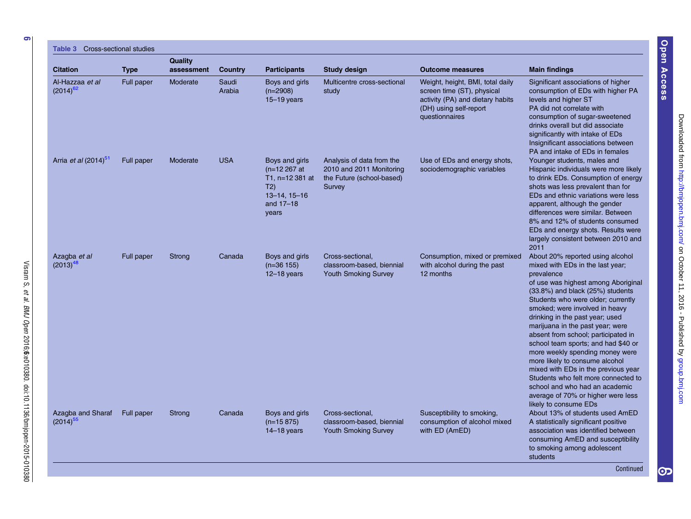6

#### $Table 3 C$

| <b>Citation</b>                    | <b>Type</b> | Quality<br>assessment | Country         | <b>Participants</b>                                                                                       | Study design                                                                                 | <b>Outcome measures</b>                                                                                                                        | <b>Main findings</b>                                                                                                                                                                                                                                                                                                                                                                                                                                                                                                                                                                                                                           |
|------------------------------------|-------------|-----------------------|-----------------|-----------------------------------------------------------------------------------------------------------|----------------------------------------------------------------------------------------------|------------------------------------------------------------------------------------------------------------------------------------------------|------------------------------------------------------------------------------------------------------------------------------------------------------------------------------------------------------------------------------------------------------------------------------------------------------------------------------------------------------------------------------------------------------------------------------------------------------------------------------------------------------------------------------------------------------------------------------------------------------------------------------------------------|
| Al-Hazzaa et al<br>$(2014)^{62}$   | Full paper  | Moderate              | Saudi<br>Arabia | Boys and girls<br>$(n=2908)$<br>$15 - 19$ years                                                           | Multicentre cross-sectional<br>study                                                         | Weight, height, BMI, total daily<br>screen time (ST), physical<br>activity (PA) and dietary habits<br>(DH) using self-report<br>questionnaires | Significant associations of higher<br>consumption of EDs with higher PA<br>levels and higher ST<br>PA did not correlate with<br>consumption of sugar-sweetened<br>drinks overall but did associate<br>significantly with intake of EDs<br>Insignificant associations between<br>PA and intake of EDs in females                                                                                                                                                                                                                                                                                                                                |
| Arria et al (2014) <sup>51</sup>   | Full paper  | Moderate              | <b>USA</b>      | Boys and girls<br>$(n=12267)$ at<br>T1, n=12 381 at<br>T2)<br>$13 - 14$ , $15 - 16$<br>and 17-18<br>years | Analysis of data from the<br>2010 and 2011 Monitoring<br>the Future (school-based)<br>Survey | Use of EDs and energy shots,<br>sociodemographic variables                                                                                     | Younger students, males and<br>Hispanic individuals were more likely<br>to drink EDs. Consumption of energy<br>shots was less prevalent than for<br>EDs and ethnic variations were less<br>apparent, although the gender<br>differences were similar. Between<br>8% and 12% of students consumed<br>EDs and energy shots. Results were<br>largely consistent between 2010 and<br>2011                                                                                                                                                                                                                                                          |
| Azagba et al<br>$(2013)^{48}$      | Full paper  | Strong                | Canada          | Boys and girls<br>$(n=36 155)$<br>$12 - 18$ years                                                         | Cross-sectional,<br>classroom-based, biennial<br><b>Youth Smoking Survey</b>                 | Consumption, mixed or premixed<br>with alcohol during the past<br>12 months                                                                    | About 20% reported using alcohol<br>mixed with EDs in the last year;<br>prevalence<br>of use was highest among Aboriginal<br>(33.8%) and black (25%) students<br>Students who were older; currently<br>smoked; were involved in heavy<br>drinking in the past year; used<br>marijuana in the past year; were<br>absent from school; participated in<br>school team sports; and had \$40 or<br>more weekly spending money were<br>more likely to consume alcohol<br>mixed with EDs in the previous year<br>Students who felt more connected to<br>school and who had an academic<br>average of 70% or higher were less<br>likely to consume EDs |
| Azagba and Sharaf<br>$(2014)^{55}$ | Full paper  | Strong                | Canada          | Boys and girls<br>$(n=15 875)$<br>$14-18$ years                                                           | Cross-sectional.<br>classroom-based, biennial<br><b>Youth Smoking Survey</b>                 | Susceptibility to smoking,<br>consumption of alcohol mixed<br>with ED (AmED)                                                                   | About 13% of students used AmED<br>A statistically significant positive<br>association was identified between<br>consuming AmED and susceptibility<br>to smoking among adolescent<br>students                                                                                                                                                                                                                                                                                                                                                                                                                                                  |

Open Access

Visram S,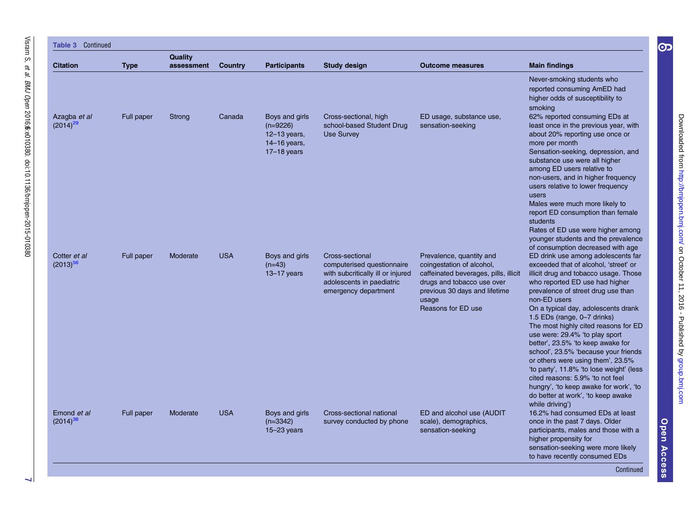|                               |             | <b>Quality</b> |                |                                                                                 |                                                                                                                                         |                                                                                                                                                                                              |                                                                                                                                                                                                                                                                                                                                                                                                                                                                                                                                                                                                                                                                                                        |
|-------------------------------|-------------|----------------|----------------|---------------------------------------------------------------------------------|-----------------------------------------------------------------------------------------------------------------------------------------|----------------------------------------------------------------------------------------------------------------------------------------------------------------------------------------------|--------------------------------------------------------------------------------------------------------------------------------------------------------------------------------------------------------------------------------------------------------------------------------------------------------------------------------------------------------------------------------------------------------------------------------------------------------------------------------------------------------------------------------------------------------------------------------------------------------------------------------------------------------------------------------------------------------|
| <b>Citation</b>               | <b>Type</b> | assessment     | <b>Country</b> | <b>Participants</b>                                                             | <b>Study design</b>                                                                                                                     | <b>Outcome measures</b>                                                                                                                                                                      | <b>Main findings</b>                                                                                                                                                                                                                                                                                                                                                                                                                                                                                                                                                                                                                                                                                   |
|                               |             |                |                |                                                                                 |                                                                                                                                         |                                                                                                                                                                                              | Never-smoking students who<br>reported consuming AmED had<br>higher odds of susceptibility to<br>smoking                                                                                                                                                                                                                                                                                                                                                                                                                                                                                                                                                                                               |
| Azagba et al<br>$(2014)^{29}$ | Full paper  | Strong         | Canada         | Boys and girls<br>$(n=9226)$<br>$12-13$ years,<br>14-16 years,<br>$17-18$ years | Cross-sectional, high<br>school-based Student Drug<br>Use Survey                                                                        | ED usage, substance use,<br>sensation-seeking                                                                                                                                                | 62% reported consuming EDs at<br>least once in the previous year, with<br>about 20% reporting use once or<br>more per month<br>Sensation-seeking, depression, and<br>substance use were all higher<br>among ED users relative to<br>non-users, and in higher frequency<br>users relative to lower frequency<br>users<br>Males were much more likely to<br>report ED consumption than female<br>students<br>Rates of ED use were higher among<br>younger students and the prevalence                                                                                                                                                                                                                    |
| Cotter et al<br>$(2013)^{56}$ | Full paper  | Moderate       | <b>USA</b>     | Boys and girls<br>$(n=43)$<br>$13 - 17$ years                                   | Cross-sectional<br>computerised questionnaire<br>with subcritically ill or injured<br>adolescents in paediatric<br>emergency department | Prevalence, quantity and<br>coingestation of alcohol,<br>caffeinated beverages, pills, illicit<br>drugs and tobacco use over<br>previous 30 days and lifetime<br>usage<br>Reasons for ED use | of consumption decreased with age<br>ED drink use among adolescents far<br>exceeded that of alcohol, 'street' or<br>illicit drug and tobacco usage. Those<br>who reported ED use had higher<br>prevalence of street drug use than<br>non-ED users<br>On a typical day, adolescents drank<br>1.5 EDs (range, 0-7 drinks)<br>The most highly cited reasons for ED<br>use were: 29.4% 'to play sport<br>better', 23.5% 'to keep awake for<br>school', 23.5% 'because your friends<br>or others were using them', 23.5%<br>'to party', 11.8% 'to lose weight' (less<br>cited reasons: 5.9% 'to not feel<br>hungry', 'to keep awake for work', 'to<br>do better at work', 'to keep awake<br>while driving') |
| Emond et al<br>$(2014)^{38}$  | Full paper  | Moderate       | <b>USA</b>     | Boys and girls<br>$(n=3342)$<br>$15 - 23$ years                                 | Cross-sectional national<br>survey conducted by phone                                                                                   | ED and alcohol use (AUDIT<br>scale), demographics,<br>sensation-seeking                                                                                                                      | 16.2% had consumed EDs at least<br>once in the past 7 days. Older<br>participants, males and those with a<br>higher propensity for<br>sensation-seeking were more likely<br>to have recently consumed EDs                                                                                                                                                                                                                                                                                                                                                                                                                                                                                              |

 $\overline{\phantom{0}}$ 

Open Access Open Access

[group.bmj.com](http://group.bmj.com)on October 11, 2016 - Published by<http://bmjopen.bmj.com/> Downloaded from

Downloaded from http://bmjopen.bmj.com/ on October 11, 2016 - Published by group.bmj.com

 $\bigcirc$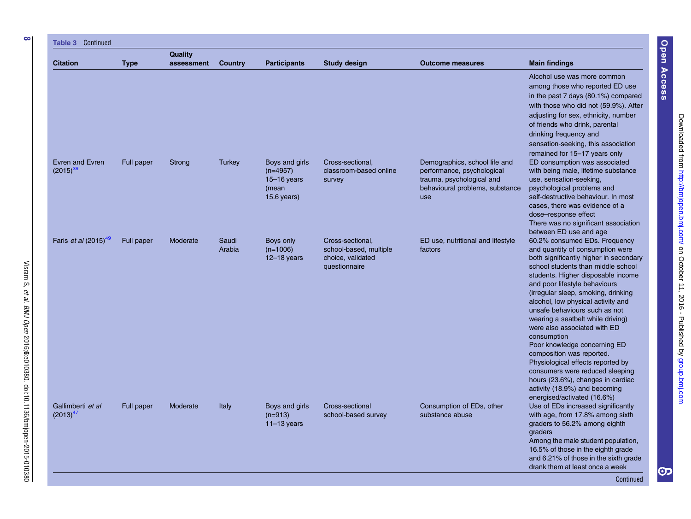| <b>Table 3 Continued</b>                |             |                              |                 |                                                                           |                                                                                  |                                                                                                                                    |                                                                                                                                                                                                                                                                                                                                                                                                                                                                                                                                                                                                                                                                      |
|-----------------------------------------|-------------|------------------------------|-----------------|---------------------------------------------------------------------------|----------------------------------------------------------------------------------|------------------------------------------------------------------------------------------------------------------------------------|----------------------------------------------------------------------------------------------------------------------------------------------------------------------------------------------------------------------------------------------------------------------------------------------------------------------------------------------------------------------------------------------------------------------------------------------------------------------------------------------------------------------------------------------------------------------------------------------------------------------------------------------------------------------|
| <b>Citation</b>                         | <b>Type</b> | <b>Quality</b><br>assessment | <b>Country</b>  | <b>Participants</b>                                                       | <b>Study design</b>                                                              | <b>Outcome measures</b>                                                                                                            | <b>Main findings</b>                                                                                                                                                                                                                                                                                                                                                                                                                                                                                                                                                                                                                                                 |
|                                         |             |                              |                 |                                                                           |                                                                                  |                                                                                                                                    | Alcohol use was more common<br>among those who reported ED use<br>in the past 7 days (80.1%) compared<br>with those who did not (59.9%). After<br>adjusting for sex, ethnicity, number<br>of friends who drink, parental<br>drinking frequency and<br>sensation-seeking, this association<br>remained for 15-17 years only                                                                                                                                                                                                                                                                                                                                           |
| Evren and Evren<br>$(2015)^{39}$        | Full paper  | Strong                       | <b>Turkey</b>   | Boys and girls<br>$(n=4957)$<br>$15 - 16$ years<br>(mean<br>$15.6$ years) | Cross-sectional,<br>classroom-based online<br>survey                             | Demographics, school life and<br>performance, psychological<br>trauma, psychological and<br>behavioural problems, substance<br>use | ED consumption was associated<br>with being male, lifetime substance<br>use, sensation-seeking,<br>psychological problems and<br>self-destructive behaviour. In most<br>cases, there was evidence of a<br>dose-response effect<br>There was no significant association<br>between ED use and age                                                                                                                                                                                                                                                                                                                                                                     |
| Faris <i>et al</i> (2015) <sup>49</sup> | Full paper  | Moderate                     | Saudi<br>Arabia | Boys only<br>$(n=1006)$<br>$12-18$ years                                  | Cross-sectional,<br>school-based, multiple<br>choice, validated<br>questionnaire | ED use, nutritional and lifestyle<br>factors                                                                                       | 60.2% consumed EDs. Frequency<br>and quantity of consumption were<br>both significantly higher in secondary<br>school students than middle school<br>students. Higher disposable income<br>and poor lifestyle behaviours<br>(irregular sleep, smoking, drinking<br>alcohol, low physical activity and<br>unsafe behaviours such as not<br>wearing a seatbelt while driving)<br>were also associated with ED<br>consumption<br>Poor knowledge concerning ED<br>composition was reported.<br>Physiological effects reported by<br>consumers were reduced sleeping<br>hours (23.6%), changes in cardiac<br>activity (18.9%) and becoming<br>energised/activated (16.6%) |
| Gallimberti et al<br>$(2013)^{47}$      | Full paper  | Moderate                     | Italy           | Boys and girls<br>$(n=913)$<br>$11-13$ years                              | Cross-sectional<br>school-based survey                                           | Consumption of EDs, other<br>substance abuse                                                                                       | Use of EDs increased significantly<br>with age, from 17.8% among sixth<br>graders to 56.2% among eighth<br>graders<br>Among the male student population,<br>16.5% of those in the eighth grade<br>and 6.21% of those in the sixth grade<br>drank them at least once a week<br>Continued                                                                                                                                                                                                                                                                                                                                                                              |

et al.

BMJ Open

2016;6

:e010380. doi:10.1136/bmjopen-2015-010380

[group.bmj.com](http://group.bmj.com)on October 11, 2016 - Published by<http://bmjopen.bmj.com/> Downloaded from

Open Access

Open Access

စာ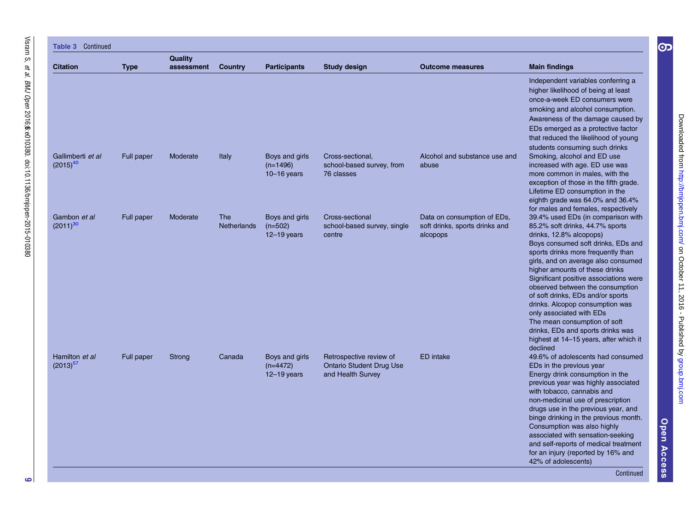| <b>Table 3 Continued</b>           |             |                              |                                  |                                                 |                                                                                 |                                                                           |                                                                                                                                                                                                                                                                                                                                                                                                                                                                                                                                                                    |
|------------------------------------|-------------|------------------------------|----------------------------------|-------------------------------------------------|---------------------------------------------------------------------------------|---------------------------------------------------------------------------|--------------------------------------------------------------------------------------------------------------------------------------------------------------------------------------------------------------------------------------------------------------------------------------------------------------------------------------------------------------------------------------------------------------------------------------------------------------------------------------------------------------------------------------------------------------------|
| <b>Citation</b>                    | <b>Type</b> | <b>Quality</b><br>assessment | Country                          | <b>Participants</b>                             | <b>Study design</b>                                                             | <b>Outcome measures</b>                                                   | <b>Main findings</b>                                                                                                                                                                                                                                                                                                                                                                                                                                                                                                                                               |
|                                    |             |                              |                                  |                                                 |                                                                                 |                                                                           | Independent variables conferring a<br>higher likelihood of being at least<br>once-a-week ED consumers were<br>smoking and alcohol consumption.<br>Awareness of the damage caused by<br>EDs emerged as a protective factor<br>that reduced the likelihood of young                                                                                                                                                                                                                                                                                                  |
| Gallimberti et al<br>$(2015)^{40}$ | Full paper  | Moderate                     | Italy                            | Boys and girls<br>$(n=1496)$<br>$10 - 16$ years | Cross-sectional,<br>school-based survey, from<br>76 classes                     | Alcohol and substance use and<br>abuse                                    | students consuming such drinks<br>Smoking, alcohol and ED use<br>increased with age. ED use was<br>more common in males, with the<br>exception of those in the fifth grade.<br>Lifetime ED consumption in the<br>eighth grade was 64.0% and 36.4%<br>for males and females, respectively                                                                                                                                                                                                                                                                           |
| Gambon et al<br>$(2011)^{30}$      | Full paper  | Moderate                     | <b>The</b><br><b>Netherlands</b> | Boys and girls<br>$(n=502)$<br>$12 - 19$ years  | Cross-sectional<br>school-based survey, single<br>centre                        | Data on consumption of EDs,<br>soft drinks, sports drinks and<br>alcopops | 39.4% used EDs (in comparison with<br>85.2% soft drinks, 44.7% sports<br>drinks, 12.8% alcopops)<br>Boys consumed soft drinks, EDs and<br>sports drinks more frequently than<br>girls, and on average also consumed<br>higher amounts of these drinks<br>Significant positive associations were<br>observed between the consumption<br>of soft drinks, EDs and/or sports<br>drinks. Alcopop consumption was<br>only associated with EDs<br>The mean consumption of soft<br>drinks, EDs and sports drinks was<br>highest at 14–15 years, after which it<br>declined |
| Hamilton et al<br>$(2013)^{57}$    | Full paper  | Strong                       | Canada                           | Boys and girls<br>$(n=4472)$<br>$12 - 19$ years | Retrospective review of<br><b>Ontario Student Drug Use</b><br>and Health Survey | <b>ED</b> intake                                                          | 49.6% of adolescents had consumed<br>EDs in the previous year<br>Energy drink consumption in the<br>previous year was highly associated<br>with tobacco, cannabis and<br>non-medicinal use of prescription<br>drugs use in the previous year, and<br>binge drinking in the previous month.<br>Consumption was also highly<br>associated with sensation-seeking<br>and self-reports of medical treatment<br>for an injury (reported by 16% and<br>42% of adolescents)                                                                                               |

Open Access Open Access

[group.bmj.com](http://group.bmj.com)on October 11, 2016 - Published by<http://bmjopen.bmj.com/> Downloaded from

Downloaded from http://bmjopen.bmj.com/ on October 11, 2016 - Published by group.bmj.com

 $\bigcirc$ 

Continued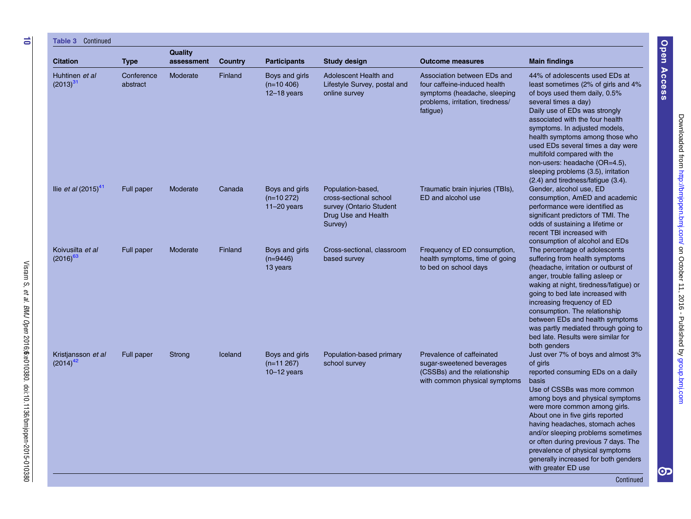| <b>Citation</b>                     | <b>Type</b>            | Quality<br>assessment | <b>Country</b> | <b>Participants</b>                                | <b>Study design</b>                                                                                      | <b>Outcome measures</b>                                                                                                                     | <b>Main findings</b>                                                                                                                                                                                                                                                                                                                                                                                                                                        |
|-------------------------------------|------------------------|-----------------------|----------------|----------------------------------------------------|----------------------------------------------------------------------------------------------------------|---------------------------------------------------------------------------------------------------------------------------------------------|-------------------------------------------------------------------------------------------------------------------------------------------------------------------------------------------------------------------------------------------------------------------------------------------------------------------------------------------------------------------------------------------------------------------------------------------------------------|
| Huhtinen et al<br>$(2013)^{31}$     | Conference<br>abstract | Moderate              | Finland        | Boys and girls<br>$(n=10, 406)$<br>$12 - 18$ years | Adolescent Health and<br>Lifestyle Survey, postal and<br>online survey                                   | Association between EDs and<br>four caffeine-induced health<br>symptoms (headache, sleeping<br>problems, irritation, tiredness/<br>fatigue) | 44% of adolescents used EDs at<br>least sometimes (2% of girls and 4%<br>of boys used them daily, 0.5%<br>several times a day)<br>Daily use of EDs was strongly<br>associated with the four health<br>symptoms. In adjusted models,<br>health symptoms among those who<br>used EDs several times a day were<br>multifold compared with the<br>non-users: headache (OR=4.5),<br>sleeping problems (3.5), irritation<br>(2.4) and tiredness/fatigue (3.4).    |
| llie <i>et al</i> $(2015)^{41}$     | Full paper             | Moderate              | Canada         | Boys and girls<br>$(n=10 272)$<br>$11-20$ years    | Population-based,<br>cross-sectional school<br>survey (Ontario Student<br>Drug Use and Health<br>Survey) | Traumatic brain injuries (TBIs),<br>ED and alcohol use                                                                                      | Gender, alcohol use, ED<br>consumption, AmED and academic<br>performance were identified as<br>significant predictors of TMI. The<br>odds of sustaining a lifetime or<br>recent TBI increased with                                                                                                                                                                                                                                                          |
| Koivusilta et al<br>$(2016)^{63}$   | Full paper             | Moderate              | Finland        | Boys and girls<br>$(n=9446)$<br>13 years           | Cross-sectional, classroom<br>based survey                                                               | Frequency of ED consumption,<br>health symptoms, time of going<br>to bed on school days                                                     | consumption of alcohol and EDs<br>The percentage of adolescents<br>suffering from health symptoms<br>(headache, irritation or outburst of<br>anger, trouble falling asleep or<br>waking at night, tiredness/fatigue) or<br>going to bed late increased with<br>increasing frequency of ED<br>consumption. The relationship<br>between EDs and health symptoms<br>was partly mediated through going to<br>bed late. Results were similar for<br>both genders |
| Kristjansson et al<br>$(2014)^{42}$ | Full paper             | Strong                | Iceland        | Boys and girls<br>$(n=11267)$<br>$10-12$ years     | Population-based primary<br>school survey                                                                | Prevalence of caffeinated<br>sugar-sweetened beverages<br>(CSSBs) and the relationship<br>with common physical symptoms                     | Just over 7% of boys and almost 3%<br>of girls<br>reported consuming EDs on a daily<br>basis<br>Use of CSSBs was more common<br>among boys and physical symptoms<br>were more common among girls.<br>About one in five girls reported<br>having headaches, stomach aches<br>and/or sleeping problems sometimes<br>or often during previous 7 days. The<br>prevalence of physical symptoms<br>generally increased for both genders<br>with greater ED use    |

Visram S, et al. BMJ Open 2016;6:e010380. doi:10.1136/bmjopen-2015-010380

 $\overrightarrow{0}$ 

Downloaded from http://bmjopen.bmj.com/ on October 11, 2016 - Published by group.bmj.com [group.bmj.com](http://group.bmj.com)on October 11, 2016 - Published by<http://bmjopen.bmj.com/> Downloaded from

Open Access

Open Access

တ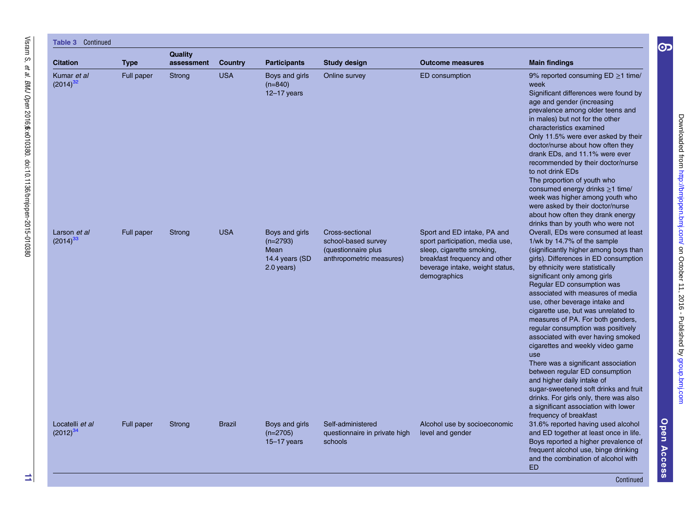| Continued<br>Table 3             |             |                       |                |                                                                      |                                                                                           |                                                                                                                                                                                 |                                                                                                                                                                                                                                                                                                                                                                                                                                                                                                                                                                                                                                                                                                                                                                                             |  |  |  |  |
|----------------------------------|-------------|-----------------------|----------------|----------------------------------------------------------------------|-------------------------------------------------------------------------------------------|---------------------------------------------------------------------------------------------------------------------------------------------------------------------------------|---------------------------------------------------------------------------------------------------------------------------------------------------------------------------------------------------------------------------------------------------------------------------------------------------------------------------------------------------------------------------------------------------------------------------------------------------------------------------------------------------------------------------------------------------------------------------------------------------------------------------------------------------------------------------------------------------------------------------------------------------------------------------------------------|--|--|--|--|
| <b>Citation</b>                  | <b>Type</b> | Quality<br>assessment | <b>Country</b> | <b>Participants</b>                                                  | <b>Study design</b>                                                                       | <b>Outcome measures</b>                                                                                                                                                         | <b>Main findings</b>                                                                                                                                                                                                                                                                                                                                                                                                                                                                                                                                                                                                                                                                                                                                                                        |  |  |  |  |
| Kumar et al<br>$(2014)^{32}$     | Full paper  | Strong                | <b>USA</b>     | Boys and girls<br>$(n=840)$<br>$12 - 17$ years                       | Online survey                                                                             | ED consumption                                                                                                                                                                  | 9% reported consuming $ED \ge 1$ time/<br>week<br>Significant differences were found by<br>age and gender (increasing<br>prevalence among older teens and<br>in males) but not for the other<br>characteristics examined<br>Only 11.5% were ever asked by their<br>doctor/nurse about how often they<br>drank EDs, and 11.1% were ever<br>recommended by their doctor/nurse<br>to not drink EDs<br>The proportion of youth who<br>consumed energy drinks ≥1 time/<br>week was higher among youth who<br>were asked by their doctor/nurse<br>about how often they drank energy<br>drinks than by youth who were not                                                                                                                                                                          |  |  |  |  |
| Larson et al<br>$(2014)^{33}$    | Full paper  | Strong                | <b>USA</b>     | Boys and girls<br>$(n=2793)$<br>Mean<br>14.4 years (SD<br>2.0 years) | Cross-sectional<br>school-based survey<br>(questionnaire plus<br>anthropometric measures) | Sport and ED intake, PA and<br>sport participation, media use,<br>sleep, cigarette smoking,<br>breakfast frequency and other<br>beverage intake, weight status,<br>demographics | Overall, EDs were consumed at least<br>1/wk by 14.7% of the sample<br>(significantly higher among boys than<br>girls). Differences in ED consumption<br>by ethnicity were statistically<br>significant only among girls<br>Regular ED consumption was<br>associated with measures of media<br>use, other beverage intake and<br>cigarette use, but was unrelated to<br>measures of PA. For both genders,<br>regular consumption was positively<br>associated with ever having smoked<br>cigarettes and weekly video game<br>use<br>There was a significant association<br>between regular ED consumption<br>and higher daily intake of<br>sugar-sweetened soft drinks and fruit<br>drinks. For girls only, there was also<br>a significant association with lower<br>frequency of breakfast |  |  |  |  |
| Locatelli et al<br>$(2012)^{34}$ | Full paper  | Strong                | <b>Brazil</b>  | Boys and girls<br>$(n=2705)$<br>$15 - 17$ years                      | Self-administered<br>questionnaire in private high<br>schools                             | Alcohol use by socioeconomic<br>level and gender                                                                                                                                | 31.6% reported having used alcohol<br>and ED together at least once in life.<br>Boys reported a higher prevalence of<br>frequent alcohol use, binge drinking<br>and the combination of alcohol with<br><b>ED</b>                                                                                                                                                                                                                                                                                                                                                                                                                                                                                                                                                                            |  |  |  |  |

Continued

Open Access

Open Access

[group.bmj.com](http://group.bmj.com)on October 11, 2016 - Published by<http://bmjopen.bmj.com/> Downloaded from

Downloaded from http://bmjopen.bmj.com/ on October 11, 2016 - Published by group.bmj.com

 $\bigodot$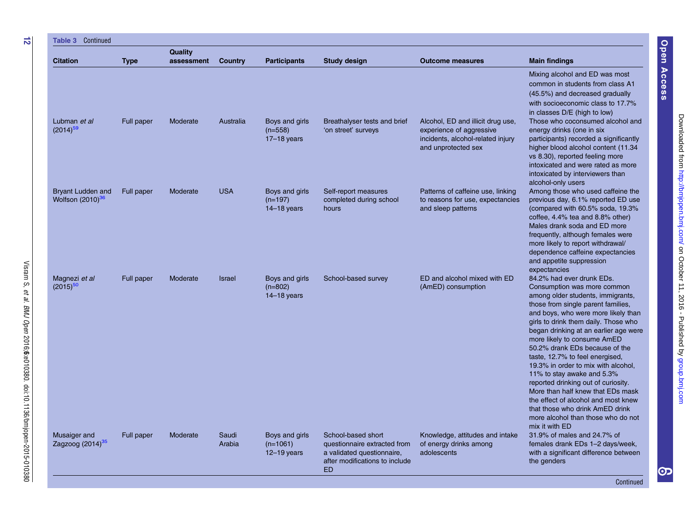| <b>Table 3 Continued</b>                                 |             |                       |                 |                                               |                                                                                                                                 |                                                                                                                           |                                                                                                                                                                                                                                                                                                                                                                                                                                                                                                                                                                                                                                                    |
|----------------------------------------------------------|-------------|-----------------------|-----------------|-----------------------------------------------|---------------------------------------------------------------------------------------------------------------------------------|---------------------------------------------------------------------------------------------------------------------------|----------------------------------------------------------------------------------------------------------------------------------------------------------------------------------------------------------------------------------------------------------------------------------------------------------------------------------------------------------------------------------------------------------------------------------------------------------------------------------------------------------------------------------------------------------------------------------------------------------------------------------------------------|
| <b>Citation</b>                                          | <b>Type</b> | Quality<br>assessment | Country         | <b>Participants</b>                           | <b>Study design</b>                                                                                                             | <b>Outcome measures</b>                                                                                                   | <b>Main findings</b>                                                                                                                                                                                                                                                                                                                                                                                                                                                                                                                                                                                                                               |
|                                                          |             |                       |                 |                                               |                                                                                                                                 |                                                                                                                           | Mixing alcohol and ED was most<br>common in students from class A1<br>(45.5%) and decreased gradually<br>with socioeconomic class to 17.7%<br>in classes D/E (high to low)                                                                                                                                                                                                                                                                                                                                                                                                                                                                         |
| Lubman et al<br>$(2014)^{59}$                            | Full paper  | Moderate              | Australia       | Boys and girls<br>$(n=558)$<br>$17-18$ years  | Breathalyser tests and brief<br>'on street' surveys                                                                             | Alcohol, ED and illicit drug use,<br>experience of aggressive<br>incidents, alcohol-related injury<br>and unprotected sex | Those who coconsumed alcohol and<br>energy drinks (one in six<br>participants) recorded a significantly<br>higher blood alcohol content (11.34)<br>vs 8.30), reported feeling more<br>intoxicated and were rated as more<br>intoxicated by interviewers than<br>alcohol-only users                                                                                                                                                                                                                                                                                                                                                                 |
| <b>Bryant Ludden and</b><br>Wolfson (2010) <sup>36</sup> | Full paper  | Moderate              | <b>USA</b>      | Boys and girls<br>$(n=197)$<br>$14-18$ years  | Self-report measures<br>completed during school<br>hours                                                                        | Patterns of caffeine use, linking<br>to reasons for use, expectancies<br>and sleep patterns                               | Among those who used caffeine the<br>previous day, 6.1% reported ED use<br>(compared with 60.5% soda, 19.3%)<br>coffee, 4.4% tea and 8.8% other)<br>Males drank soda and ED more<br>frequently, although females were<br>more likely to report withdrawal/<br>dependence caffeine expectancies<br>and appetite suppression<br>expectancies                                                                                                                                                                                                                                                                                                         |
| Magnezi et al<br>$(2015)^{50}$                           | Full paper  | Moderate              | <b>Israel</b>   | Boys and girls<br>$(n=802)$<br>$14-18$ years  | School-based survey                                                                                                             | ED and alcohol mixed with ED<br>(AmED) consumption                                                                        | 84.2% had ever drunk EDs.<br>Consumption was more common<br>among older students, immigrants,<br>those from single parent families,<br>and boys, who were more likely than<br>girls to drink them daily. Those who<br>began drinking at an earlier age were<br>more likely to consume AmED<br>50.2% drank EDs because of the<br>taste, 12.7% to feel energised,<br>19.3% in order to mix with alcohol,<br>11% to stay awake and 5.3%<br>reported drinking out of curiosity.<br>More than half knew that EDs mask<br>the effect of alcohol and most knew<br>that those who drink AmED drink<br>more alcohol than those who do not<br>mix it with ED |
| Musaiger and<br>Zagzoog (2014) <sup>35</sup>             | Full paper  | Moderate              | Saudi<br>Arabia | Boys and girls<br>$(n=1061)$<br>$12-19$ years | School-based short<br>questionnaire extracted from<br>a validated questionnaire.<br>after modifications to include<br><b>ED</b> | Knowledge, attitudes and intake<br>of energy drinks among<br>adolescents                                                  | 31.9% of males and 24.7% of<br>females drank EDs 1-2 days/week,<br>with a significant difference between<br>the genders                                                                                                                                                                                                                                                                                                                                                                                                                                                                                                                            |

et al.

BMJ Open

2016;6

:e010380. doi:10.1136/bmjopen-2015-010380

Open Access

Open Access

Continued

တ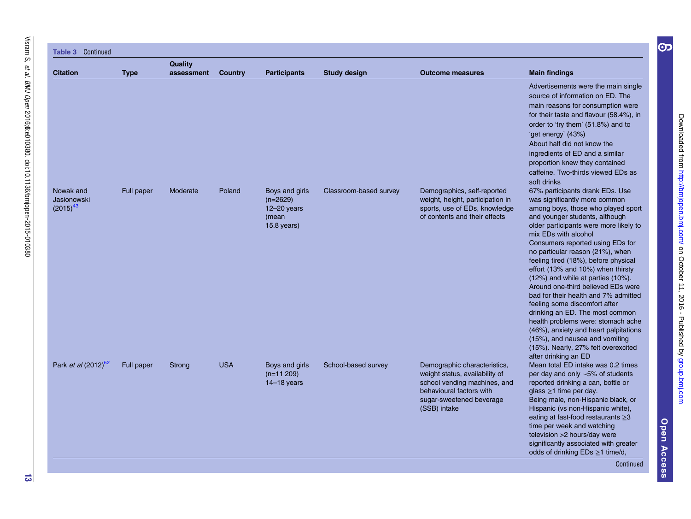| <b>Table 3 Continued</b>                  |             |                       |                |                                                                           |                        |                                                                                                                                                                        |                                                                                                                                                                                                                                                                                                                                                                                                                                                                                                                                                                                                                                                                                                                                             |
|-------------------------------------------|-------------|-----------------------|----------------|---------------------------------------------------------------------------|------------------------|------------------------------------------------------------------------------------------------------------------------------------------------------------------------|---------------------------------------------------------------------------------------------------------------------------------------------------------------------------------------------------------------------------------------------------------------------------------------------------------------------------------------------------------------------------------------------------------------------------------------------------------------------------------------------------------------------------------------------------------------------------------------------------------------------------------------------------------------------------------------------------------------------------------------------|
| <b>Citation</b>                           | <b>Type</b> | Quality<br>assessment | <b>Country</b> | <b>Participants</b>                                                       | <b>Study design</b>    | <b>Outcome measures</b>                                                                                                                                                | <b>Main findings</b>                                                                                                                                                                                                                                                                                                                                                                                                                                                                                                                                                                                                                                                                                                                        |
|                                           |             |                       |                |                                                                           |                        |                                                                                                                                                                        | Advertisements were the main single<br>source of information on ED. The<br>main reasons for consumption were<br>for their taste and flavour (58.4%), in<br>order to 'try them' (51.8%) and to<br>'get energy' (43%)<br>About half did not know the<br>ingredients of ED and a similar<br>proportion knew they contained<br>caffeine. Two-thirds viewed EDs as<br>soft drinks                                                                                                                                                                                                                                                                                                                                                                |
| Nowak and<br>Jasionowski<br>$(2015)^{43}$ | Full paper  | Moderate              | Poland         | Boys and girls<br>$(n=2629)$<br>$12 - 20$ years<br>(mean<br>$15.8$ years) | Classroom-based survey | Demographics, self-reported<br>weight, height, participation in<br>sports, use of EDs, knowledge<br>of contents and their effects                                      | 67% participants drank EDs. Use<br>was significantly more common<br>among boys, those who played sport<br>and younger students, although<br>older participants were more likely to<br>mix EDs with alcohol<br>Consumers reported using EDs for<br>no particular reason (21%), when<br>feeling tired (18%), before physical<br>effort (13% and 10%) when thirsty<br>$(12%)$ and while at parties $(10%)$ .<br>Around one-third believed EDs were<br>bad for their health and 7% admitted<br>feeling some discomfort after<br>drinking an ED. The most common<br>health problems were: stomach ache<br>(46%), anxiety and heart palpitations<br>(15%), and nausea and vomiting<br>(15%). Nearly, 27% felt overexcited<br>after drinking an ED |
| Park et al (2012) <sup>52</sup>           | Full paper  | Strong                | <b>USA</b>     | Boys and girls<br>$(n=11 209)$<br>$14-18$ years                           | School-based survey    | Demographic characteristics,<br>weight status, availability of<br>school vending machines, and<br>behavioural factors with<br>sugar-sweetened beverage<br>(SSB) intake | Mean total ED intake was 0.2 times<br>per day and only $\sim$ 5% of students<br>reported drinking a can, bottle or<br>glass $\geq$ 1 time per day.<br>Being male, non-Hispanic black, or<br>Hispanic (vs non-Hispanic white),<br>eating at fast-food restaurants $\geq 3$<br>time per week and watching<br>television >2 hours/day were<br>significantly associated with greater<br>odds of drinking $EDs \ge 1$ time/d,<br>Continued                                                                                                                                                                                                                                                                                                       |

Open Access Open Access

[group.bmj.com](http://group.bmj.com)on October 11, 2016 - Published by<http://bmjopen.bmj.com/> Downloaded from

Downloaded from http://brnjopen.brnj.com/ on October 11, 2016 - Published by group.brnj.com

 $\bigodot$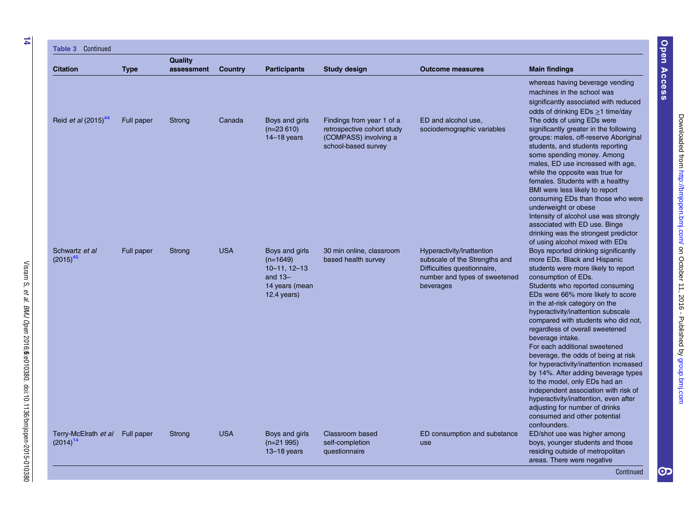| <b>Citation</b>                                  | <b>Type</b> | Quality<br>assessment | Country    | <b>Participants</b>                                                                                   | <b>Study design</b>                                                                                     | <b>Outcome measures</b>                                                                                                                 | <b>Main findings</b>                                                                                                                                                                                                                                                                                                                                                                                                                                                                                                                                                                                                                                                                                                                           |
|--------------------------------------------------|-------------|-----------------------|------------|-------------------------------------------------------------------------------------------------------|---------------------------------------------------------------------------------------------------------|-----------------------------------------------------------------------------------------------------------------------------------------|------------------------------------------------------------------------------------------------------------------------------------------------------------------------------------------------------------------------------------------------------------------------------------------------------------------------------------------------------------------------------------------------------------------------------------------------------------------------------------------------------------------------------------------------------------------------------------------------------------------------------------------------------------------------------------------------------------------------------------------------|
|                                                  |             |                       |            |                                                                                                       |                                                                                                         |                                                                                                                                         | whereas having beverage vending<br>machines in the school was<br>significantly associated with reduced<br>odds of drinking $EDs \ge 1$ time/day                                                                                                                                                                                                                                                                                                                                                                                                                                                                                                                                                                                                |
| Reid et al (2015) <sup>44</sup>                  | Full paper  | Strong                | Canada     | Boys and girls<br>$(n=23610)$<br>$14-18$ years                                                        | Findings from year 1 of a<br>retrospective cohort study<br>(COMPASS) involving a<br>school-based survey | ED and alcohol use,<br>sociodemographic variables                                                                                       | The odds of using EDs were<br>significantly greater in the following<br>groups: males, off-reserve Aboriginal<br>students, and students reporting<br>some spending money. Among<br>males, ED use increased with age,<br>while the opposite was true for<br>females. Students with a healthy<br>BMI were less likely to report<br>consuming EDs than those who were<br>underweight or obese<br>Intensity of alcohol use was strongly<br>associated with ED use. Binge<br>drinking was the strongest predictor<br>of using alcohol mixed with EDs                                                                                                                                                                                                |
| Schwartz et al<br>$(2015)^{45}$                  | Full paper  | Strong                | <b>USA</b> | Boys and girls<br>$(n=1649)$<br>$10 - 11$ , $12 - 13$<br>and $13-$<br>14 years (mean<br>$12.4$ years) | 30 min online, classroom<br>based health survey                                                         | Hyperactivity/Inattention<br>subscale of the Strengths and<br>Difficulties questionnaire,<br>number and types of sweetened<br>beverages | Boys reported drinking significantly<br>more EDs. Black and Hispanic<br>students were more likely to report<br>consumption of EDs.<br>Students who reported consuming<br>EDs were 66% more likely to score<br>in the at-risk category on the<br>hyperactivity/inattention subscale<br>compared with students who did not,<br>regardless of overall sweetened<br>beverage intake.<br>For each additional sweetened<br>beverage, the odds of being at risk<br>for hyperactivity/inattention increased<br>by 14%. After adding beverage types<br>to the model, only EDs had an<br>independent association with risk of<br>hyperactivity/inattention, even after<br>adjusting for number of drinks<br>consumed and other potential<br>confounders. |
| Terry-McElrath et al Full paper<br>$(2014)^{14}$ |             | Strong                | <b>USA</b> | Boys and girls<br>$(n=21995)$<br>$13 - 18$ years                                                      | Classroom based<br>self-completion<br>questionnaire                                                     | ED consumption and substance<br>use                                                                                                     | ED/shot use was higher among<br>boys, younger students and those<br>residing outside of metropolitan<br>areas. There were negative                                                                                                                                                                                                                                                                                                                                                                                                                                                                                                                                                                                                             |

et al.

BMJ Open

2016;6

:e010380. doi:10.1136/bmjopen-2015-010380

Open Access

Open Access

စာ $\overline{\mathbf{S}}$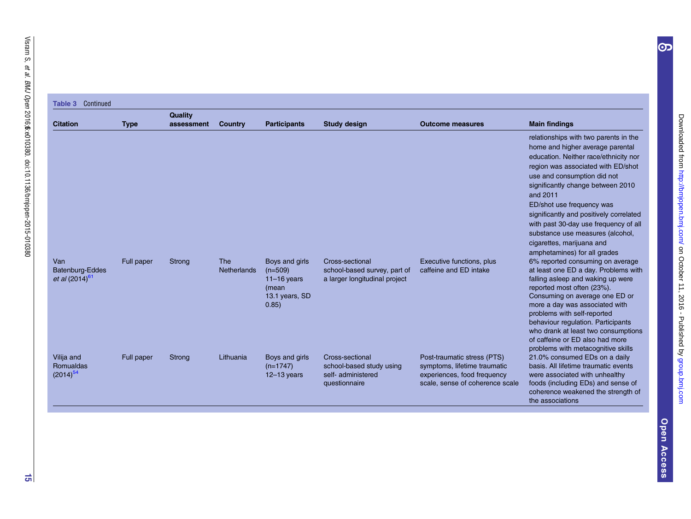#### <span id="page-15-0"></span>Table 3 Continued

|                                                      |             | <b>Quality</b> |                           |                                                                                  |                                                                                    |                                                                                                                               |                                                                                                                                                                                                                                                                                                                                                                                                                                                            |
|------------------------------------------------------|-------------|----------------|---------------------------|----------------------------------------------------------------------------------|------------------------------------------------------------------------------------|-------------------------------------------------------------------------------------------------------------------------------|------------------------------------------------------------------------------------------------------------------------------------------------------------------------------------------------------------------------------------------------------------------------------------------------------------------------------------------------------------------------------------------------------------------------------------------------------------|
| <b>Citation</b>                                      | <b>Type</b> | assessment     | Country                   | <b>Participants</b>                                                              | <b>Study design</b>                                                                | <b>Outcome measures</b>                                                                                                       | <b>Main findings</b>                                                                                                                                                                                                                                                                                                                                                                                                                                       |
|                                                      |             |                |                           |                                                                                  |                                                                                    |                                                                                                                               | relationships with two parents in the<br>home and higher average parental<br>education. Neither race/ethnicity nor<br>region was associated with ED/shot<br>use and consumption did not<br>significantly change between 2010<br>and 2011<br>ED/shot use frequency was<br>significantly and positively correlated<br>with past 30-day use frequency of all<br>substance use measures (alcohol,<br>cigarettes, marijuana and<br>amphetamines) for all grades |
| Van<br>Batenburg-Eddes<br>et al (2014) <sup>61</sup> | Full paper  | Strong         | The<br><b>Netherlands</b> | Boys and girls<br>$(n=509)$<br>$11-16$ years<br>(mean<br>13.1 years, SD<br>0.85) | Cross-sectional<br>school-based survey, part of<br>a larger longitudinal project   | Executive functions, plus<br>caffeine and ED intake                                                                           | 6% reported consuming on average<br>at least one ED a day. Problems with<br>falling asleep and waking up were<br>reported most often (23%).<br>Consuming on average one ED or<br>more a day was associated with<br>problems with self-reported<br>behaviour regulation. Participants<br>who drank at least two consumptions<br>of caffeine or ED also had more<br>problems with metacognitive skills                                                       |
| Vilija and<br><b>Romualdas</b><br>$(2014)^{54}$      | Full paper  | <b>Strong</b>  | Lithuania                 | Boys and girls<br>$(n=1747)$<br>$12 - 13$ years                                  | Cross-sectional<br>school-based study using<br>self- administered<br>questionnaire | Post-traumatic stress (PTS)<br>symptoms, lifetime traumatic<br>experiences, food frequency<br>scale, sense of coherence scale | 21.0% consumed EDs on a daily<br>basis. All lifetime traumatic events<br>were associated with unhealthy<br>foods (including EDs) and sense of<br>coherence weakened the strength of<br>the associations                                                                                                                                                                                                                                                    |

 $\bigodot$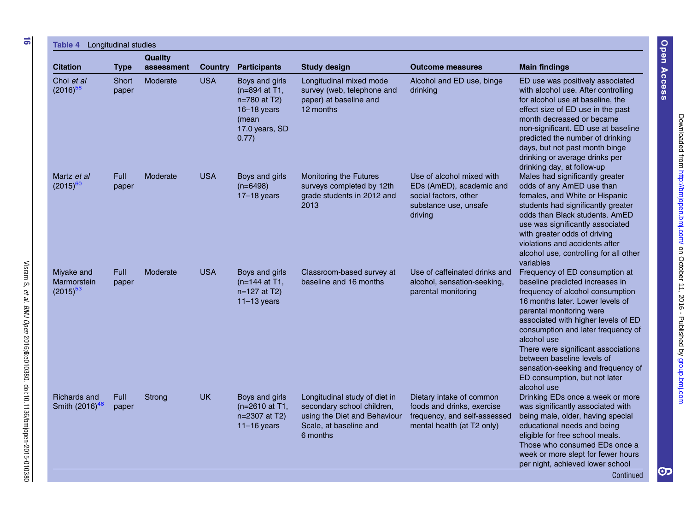| <b>Citation</b>                                   | <b>Type</b>          | <b>Quality</b><br>assessment | <b>Country</b> | <b>Participants</b>                                                                                    | <b>Study design</b>                                                                                                               | <b>Outcome measures</b>                                                                                              | <b>Main findings</b>                                                                                                                                                                                                                                                                                                                                                                                                         |
|---------------------------------------------------|----------------------|------------------------------|----------------|--------------------------------------------------------------------------------------------------------|-----------------------------------------------------------------------------------------------------------------------------------|----------------------------------------------------------------------------------------------------------------------|------------------------------------------------------------------------------------------------------------------------------------------------------------------------------------------------------------------------------------------------------------------------------------------------------------------------------------------------------------------------------------------------------------------------------|
| Choi et al<br>$(2016)^{58}$                       | Short<br>paper       | Moderate                     | <b>USA</b>     | Boys and girls<br>(n=894 at T1,<br>n=780 at T2)<br>$16 - 18$ years<br>(mean<br>17.0 years, SD<br>0.77) | Longitudinal mixed mode<br>survey (web, telephone and<br>paper) at baseline and<br>12 months                                      | Alcohol and ED use, binge<br>drinking                                                                                | ED use was positively associated<br>with alcohol use. After controlling<br>for alcohol use at baseline, the<br>effect size of ED use in the past<br>month decreased or became<br>non-significant. ED use at baseline<br>predicted the number of drinking<br>days, but not past month binge<br>drinking or average drinks per<br>drinking day, at follow-up                                                                   |
| Martz et al<br>$(2015)^{60}$                      | Full<br>paper        | Moderate                     | <b>USA</b>     | Boys and girls<br>$(n=6498)$<br>$17-18$ years                                                          | Monitoring the Futures<br>surveys completed by 12th<br>grade students in 2012 and<br>2013                                         | Use of alcohol mixed with<br>EDs (AmED), academic and<br>social factors, other<br>substance use, unsafe<br>driving   | Males had significantly greater<br>odds of any AmED use than<br>females, and White or Hispanic<br>students had significantly greater<br>odds than Black students, AmED<br>use was significantly associated<br>with greater odds of driving<br>violations and accidents after<br>alcohol use, controlling for all other<br>variables                                                                                          |
| Miyake and<br>Marmorstein<br>$(2015)^{53}$        | Full<br>paper        | Moderate                     | <b>USA</b>     | Boys and girls<br>(n=144 at T1,<br>n=127 at T2)<br>$11-13$ years                                       | Classroom-based survey at<br>baseline and 16 months                                                                               | Use of caffeinated drinks and<br>alcohol, sensation-seeking,<br>parental monitoring                                  | Frequency of ED consumption at<br>baseline predicted increases in<br>frequency of alcohol consumption<br>16 months later. Lower levels of<br>parental monitoring were<br>associated with higher levels of ED<br>consumption and later frequency of<br>alcohol use<br>There were significant associations<br>between baseline levels of<br>sensation-seeking and frequency of<br>ED consumption, but not later<br>alcohol use |
| <b>Richards and</b><br>Smith (2016) <sup>46</sup> | <b>Full</b><br>paper | Strong                       | <b>UK</b>      | Boys and girls<br>(n=2610 at T1,<br>n=2307 at T2)<br>$11-16$ years                                     | Longitudinal study of diet in<br>secondary school children,<br>using the Diet and Behaviour<br>Scale, at baseline and<br>6 months | Dietary intake of common<br>foods and drinks, exercise<br>frequency, and self-assessed<br>mental health (at T2 only) | Drinking EDs once a week or more<br>was significantly associated with<br>being male, older, having special<br>educational needs and being<br>eligible for free school meals.<br>Those who consumed EDs once a<br>week or more slept for fewer hours<br>per night, achieved lower school<br>Continued                                                                                                                         |

et al.

BMJ Open

2016;6

:e010380. doi:10.1136/bmjopen-2015-010380

[group.bmj.com](http://group.bmj.com)on October 11, 2016 - Published by<http://bmjopen.bmj.com/> Downloaded from

Open Access

Open Access

တ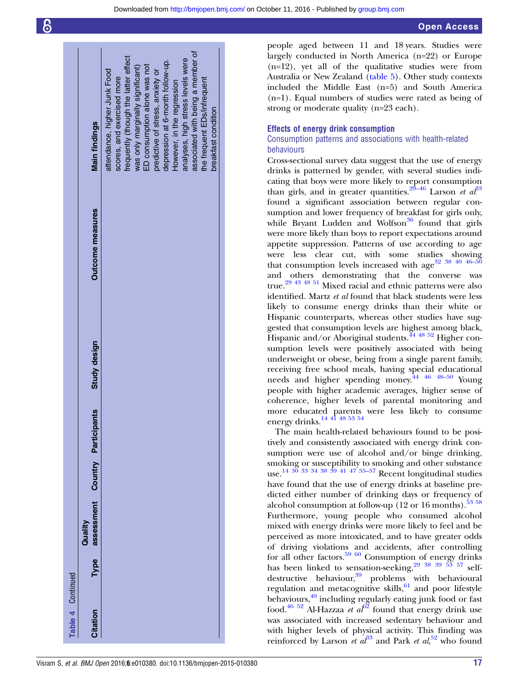|                   | <b>Main findings</b>                            | attendance, higher Junk Food | scores, and exercised more | frequently (though the latter effect | was only marginally significant) | ED consumption alone was not | predictive of stress, anxiety or | depression at 6-month follow-up. | However, in the regression | analyses, high stress levels were | associated with being a member of | the frequent EDs/infrequent | breakfast condition |  |
|-------------------|-------------------------------------------------|------------------------------|----------------------------|--------------------------------------|----------------------------------|------------------------------|----------------------------------|----------------------------------|----------------------------|-----------------------------------|-----------------------------------|-----------------------------|---------------------|--|
|                   |                                                 |                              |                            |                                      |                                  |                              |                                  |                                  |                            |                                   |                                   |                             |                     |  |
|                   | <b>Outcome measures</b>                         |                              |                            |                                      |                                  |                              |                                  |                                  |                            |                                   |                                   |                             |                     |  |
|                   | Study design                                    |                              |                            |                                      |                                  |                              |                                  |                                  |                            |                                   |                                   |                             |                     |  |
|                   |                                                 |                              |                            |                                      |                                  |                              |                                  |                                  |                            |                                   |                                   |                             |                     |  |
|                   |                                                 |                              |                            |                                      |                                  |                              |                                  |                                  |                            |                                   |                                   |                             |                     |  |
|                   | Type assessment Country Participants<br>Quality |                              |                            |                                      |                                  |                              |                                  |                                  |                            |                                   |                                   |                             |                     |  |
|                   |                                                 |                              |                            |                                      |                                  |                              |                                  |                                  |                            |                                   |                                   |                             |                     |  |
| Table 4 Continued | Citation                                        |                              |                            |                                      |                                  |                              |                                  |                                  |                            |                                   |                                   |                             |                     |  |

people aged between 11 and 18 years. Studies were largely conducted in North America (n=22) or Europe (n=12), yet all of the qualitative studies were from Australia or New Zealand (table 5). Other study contexts included the Middle East (n=5) and South America (n=1). Equal numbers of studies were rated as being of strong or moderate quality (n=23 each).

#### Effects of energy drink consumption

#### Consumption patterns and associations with health-related behaviours

Cross-sectional survey data suggest that the use of energy drinks is patterned by gender, with several studies indicating that boys were more likely to report consumption than girls, and in greater quantities.<sup>29–[46](#page-21-0)</sup> Larson et  $a<sup>33</sup>$  $a<sup>33</sup>$  $a<sup>33</sup>$ found a significant association between regular consumption and lower frequency of breakfast for girls only, while Bryant Ludden and Wolfson<sup>[36](#page-21-0)</sup> found that girls were more likely than boys to report expectations around appetite suppression. Patterns of use according to age were less clear cut, with some studies showing that consumption levels increased with age  $32^{38}$   $40^{46-5}$ and others demonstrating that the converse was true.[29 43 48 51](#page-21-0) Mixed racial and ethnic patterns were also identified. Martz et al found that black students were less likely to consume energy drinks than their white or Hispanic counterparts, whereas other studies have suggested that consumption levels are highest among black, Hispanic and/or Aboriginal students.<sup>[44 48 52](#page-21-0)</sup> Higher consumption levels were positively associated with being underweight or obese, being from a single parent family, receiving free school meals, having special educational needs and higher spending money.[44 46 48](#page-21-0)–<sup>50</sup> Young people with higher academic averages, higher sense of coherence, higher levels of parental monitoring and more educated parents were less likely to consume energy drinks.<sup>14 41</sup> <sup>48</sup> <sup>53</sup> <sup>54</sup>

The main health-related behaviours found to be positively and consistently associated with energy drink consumption were use of alcohol and/or binge drinking, smoking or susceptibility to smoking and other substance use. [14 30 33 34 38 39 41 47](#page-21-0) [55](#page-22-0)–<sup>57</sup> Recent longitudinal studies have found that the use of energy drinks at baseline predicted either number of drinking days or frequency of alcohol consumption at follow-up  $(12 \text{ or } 16 \text{ months})$ .<sup>[53](#page-21-0) [58](#page-22-0)</sup> Furthermore, young people who consumed alcohol mixed with energy drinks were more likely to feel and be perceived as more intoxicated, and to have greater odds of driving violations and accidents, after controlling for all other factors.<sup>[59 60](#page-22-0)</sup> Consumption of energy drinks has been linked to sensation-seeking,<sup>29</sup> 38 39 53 [57](#page-22-0) self-destructive behaviour,<sup>[39](#page-21-0)</sup> problems with behavioural regulation and metacognitive skills, $61$  and poor lifestyle behaviours,<sup>[49](#page-21-0)</sup> including regularly eating junk food or fast food.<sup>[46 52](#page-21-0)</sup> Al-Hazzaa *et a*<sup>[62](#page-22-0)</sup> found that energy drink use was associated with increased sedentary behaviour and with higher levels of physical activity. This finding was reinforced by Larson et  $a\ell^3$  and Park et  $al$ <sup>[52](#page-21-0)</sup> who found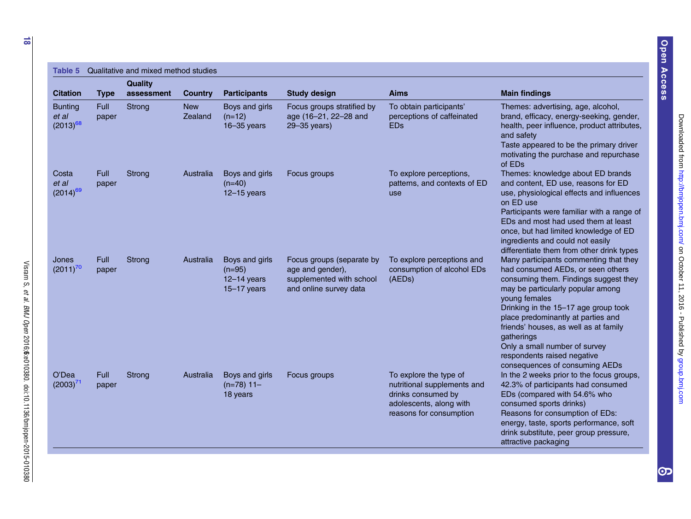| <b>Table 5</b>                           | Qualitative and mixed method studies |                              |                              |                                                              |                                                                                                     |                                                                                                                                   |                                                                                                                                                                                                                                                                                                                                                                                                                   |
|------------------------------------------|--------------------------------------|------------------------------|------------------------------|--------------------------------------------------------------|-----------------------------------------------------------------------------------------------------|-----------------------------------------------------------------------------------------------------------------------------------|-------------------------------------------------------------------------------------------------------------------------------------------------------------------------------------------------------------------------------------------------------------------------------------------------------------------------------------------------------------------------------------------------------------------|
| <b>Citation</b>                          |                                      | <b>Quality</b><br>assessment | <b>Country</b>               | <b>Participants</b>                                          | <b>Study design</b>                                                                                 | <b>Aims</b>                                                                                                                       | <b>Main findings</b>                                                                                                                                                                                                                                                                                                                                                                                              |
| <b>Bunting</b><br>et al<br>$(2013)^{68}$ | <b>Type</b><br>Full<br>paper         | Strong                       | <b>New</b><br><b>Zealand</b> | Boys and girls<br>$(n=12)$<br>$16 - 35$ years                | Focus groups stratified by<br>age (16-21, 22-28 and<br>29-35 years)                                 | To obtain participants'<br>perceptions of caffeinated<br><b>EDs</b>                                                               | Themes: advertising, age, alcohol,<br>brand, efficacy, energy-seeking, gender,<br>health, peer influence, product attributes,<br>and safety<br>Taste appeared to be the primary driver<br>motivating the purchase and repurchase<br>of EDs                                                                                                                                                                        |
| Costa<br>et al<br>$(2014)^{69}$          | Full<br>paper                        | Strong                       | Australia                    | Boys and girls<br>$(n=40)$<br>$12-15$ years                  | Focus groups                                                                                        | To explore perceptions,<br>patterns, and contexts of ED<br>use                                                                    | Themes: knowledge about ED brands<br>and content, ED use, reasons for ED<br>use, physiological effects and influences<br>on ED use<br>Participants were familiar with a range of<br>EDs and most had used them at least<br>once, but had limited knowledge of ED<br>ingredients and could not easily<br>differentiate them from other drink types                                                                 |
| Jones<br>$(2011)^{70}$                   | <b>Full</b><br>paper                 | Strong                       | Australia                    | Boys and girls<br>$(n=95)$<br>$12-14$ years<br>$15-17$ years | Focus groups (separate by<br>age and gender),<br>supplemented with school<br>and online survey data | To explore perceptions and<br>consumption of alcohol EDs<br>(AEDs)                                                                | Many participants commenting that they<br>had consumed AEDs, or seen others<br>consuming them. Findings suggest they<br>may be particularly popular among<br>young females<br>Drinking in the 15-17 age group took<br>place predominantly at parties and<br>friends' houses, as well as at family<br>gatherings<br>Only a small number of survey<br>respondents raised negative<br>consequences of consuming AEDs |
| O'Dea<br>$(2003)^{71}$                   | <b>Full</b><br>paper                 | Strong                       | Australia                    | Boys and girls<br>$(n=78)$ 11-<br>18 years                   | Focus groups                                                                                        | To explore the type of<br>nutritional supplements and<br>drinks consumed by<br>adolescents, along with<br>reasons for consumption | In the 2 weeks prior to the focus groups,<br>42.3% of participants had consumed<br>EDs (compared with 54.6% who<br>consumed sports drinks)<br>Reasons for consumption of EDs:<br>energy, taste, sports performance, soft<br>drink substitute, peer group pressure,<br>attractive packaging                                                                                                                        |

et al.

BMJ Open

2016;6

:e010380. doi:10.1136/bmjopen-2015-010380

Open Access

Open Access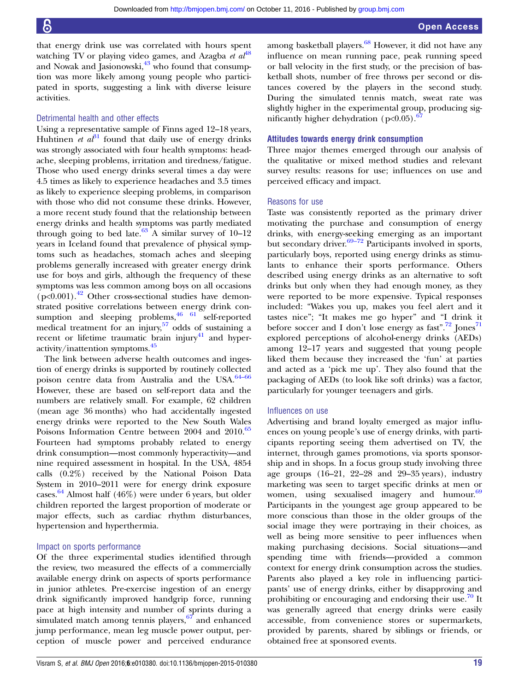that energy drink use was correlated with hours spent watching TV or playing video games, and Azagba et  $a^{48}$  $a^{48}$  $a^{48}$ and Nowak and Jasionowski, $43$  who found that consumption was more likely among young people who participated in sports, suggesting a link with diverse leisure activities.

#### Detrimental health and other effects

Using a representative sample of Finns aged 12–18 years, Huhtinen *et al*<sup>[31](#page-21-0)</sup> found that daily use of energy drinks was strongly associated with four health symptoms: headache, sleeping problems, irritation and tiredness/fatigue. Those who used energy drinks several times a day were 4.5 times as likely to experience headaches and 3.5 times as likely to experience sleeping problems, in comparison with those who did not consume these drinks. However, a more recent study found that the relationship between energy drinks and health symptoms was partly mediated through going to bed late.<sup>[63](#page-22-0)</sup> A similar survey of  $10-12$ years in Iceland found that prevalence of physical symptoms such as headaches, stomach aches and sleeping problems generally increased with greater energy drink use for boys and girls, although the frequency of these symptoms was less common among boys on all occasions  $(p<0.001)$ .<sup>[42](#page-21-0)</sup> Other cross-sectional studies have demonstrated positive correlations between energy drink consumption and sleeping problems,  $\frac{46}{61}$  $\frac{46}{61}$  $\frac{46}{61}$  self-reported medical treatment for an injury, $57$  odds of sustaining a recent or lifetime traumatic brain injury $41$  and hyperactivity/inattention symptoms.[45](#page-21-0)

The link between adverse health outcomes and ingestion of energy drinks is supported by routinely collected poison centre data from Australia and the USA.<sup>[64](#page-22-0)–66</sup> However, these are based on self-report data and the numbers are relatively small. For example, 62 children (mean age 36 months) who had accidentally ingested energy drinks were reported to the New South Wales Poisons Information Centre between 2004 and 2010.<sup>[65](#page-22-0)</sup> Fourteen had symptoms probably related to energy drink consumption—most commonly hyperactivity—and nine required assessment in hospital. In the USA, 4854 calls (0.2%) received by the National Poison Data System in 2010–2011 were for energy drink exposure cases. [64](#page-22-0) Almost half (46%) were under 6 years, but older children reported the largest proportion of moderate or major effects, such as cardiac rhythm disturbances, hypertension and hyperthermia.

#### Impact on sports performance

Of the three experimental studies identified through the review, two measured the effects of a commercially available energy drink on aspects of sports performance in junior athletes. Pre-exercise ingestion of an energy drink significantly improved handgrip force, running pace at high intensity and number of sprints during a simulated match among tennis players,<sup>[67](#page-22-0)</sup> and enhanced jump performance, mean leg muscle power output, perception of muscle power and perceived endurance among basketball players.<sup>[68](#page-22-0)</sup> However, it did not have any influence on mean running pace, peak running speed or ball velocity in the first study, or the precision of basketball shots, number of free throws per second or distances covered by the players in the second study. During the simulated tennis match, sweat rate was slightly higher in the experimental group, producing significantly higher dehydration ( $p<0.05$ ).<sup>6</sup>

#### Attitudes towards energy drink consumption

Three major themes emerged through our analysis of the qualitative or mixed method studies and relevant survey results: reasons for use; influences on use and perceived efficacy and impact.

#### Reasons for use

Taste was consistently reported as the primary driver motivating the purchase and consumption of energy drinks, with energy-seeking emerging as an important but secondary driver.<sup>[69](#page-22-0)–72</sup> Participants involved in sports, particularly boys, reported using energy drinks as stimulants to enhance their sports performance. Others described using energy drinks as an alternative to soft drinks but only when they had enough money, as they were reported to be more expensive. Typical responses included: "Wakes you up, makes you feel alert and it tastes nice"; "It makes me go hyper" and "I drink it before soccer and I don't lose energy as fast".<sup>[72](#page-22-0)</sup> Jones<sup>[71](#page-22-0)</sup> explored perceptions of alcohol-energy drinks (AEDs) among 12–17 years and suggested that young people liked them because they increased the 'fun' at parties and acted as a 'pick me up'. They also found that the packaging of AEDs (to look like soft drinks) was a factor, particularly for younger teenagers and girls.

#### Influences on use

Advertising and brand loyalty emerged as major influences on young people's use of energy drinks, with participants reporting seeing them advertised on TV, the internet, through games promotions, via sports sponsorship and in shops. In a focus group study involving three age groups (16–21, 22–28 and 29–35 years), industry marketing was seen to target specific drinks at men or women, using sexualised imagery and humour. $69$ Participants in the youngest age group appeared to be more conscious than those in the older groups of the social image they were portraying in their choices, as well as being more sensitive to peer influences when making purchasing decisions. Social situations—and spending time with friends—provided a common context for energy drink consumption across the studies. Parents also played a key role in influencing participants' use of energy drinks, either by disapproving and prohibiting or encouraging and endorsing their use. $^{70}$  $^{70}$  $^{70}$  It was generally agreed that energy drinks were easily accessible, from convenience stores or supermarkets, provided by parents, shared by siblings or friends, or obtained free at sponsored events.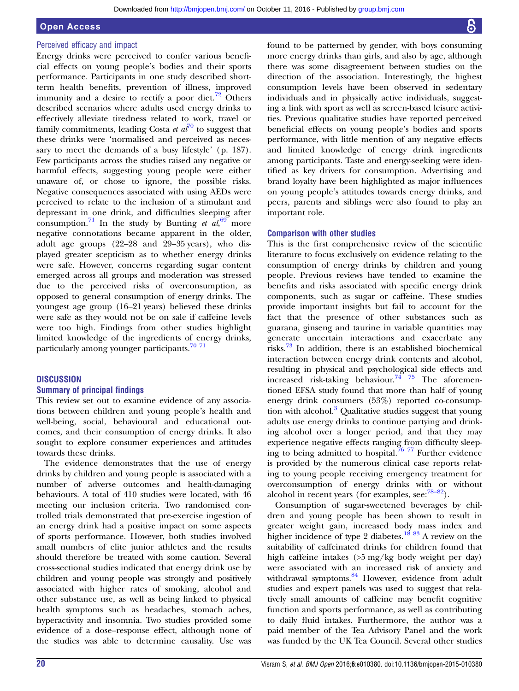#### Open Access

#### Perceived efficacy and impact

Energy drinks were perceived to confer various beneficial effects on young people's bodies and their sports performance. Participants in one study described shortterm health benefits, prevention of illness, improved immunity and a desire to rectify a poor diet.<sup>[72](#page-22-0)</sup> Others described scenarios where adults used energy drinks to effectively alleviate tiredness related to work, travel or family commitments, leading Costa et  $a\bar{l}^{70}$  $a\bar{l}^{70}$  $a\bar{l}^{70}$  to suggest that these drinks were 'normalised and perceived as necessary to meet the demands of a busy lifestyle' (p. 187). Few participants across the studies raised any negative or harmful effects, suggesting young people were either unaware of, or chose to ignore, the possible risks. Negative consequences associated with using AEDs were perceived to relate to the inclusion of a stimulant and depressant in one drink, and difficulties sleeping after consumption.<sup>[71](#page-22-0)</sup> In the study by Bunting et  $al$ ,  $69$ <sup>o</sup> more negative connotations became apparent in the older, adult age groups (22–28 and 29–35 years), who displayed greater scepticism as to whether energy drinks were safe. However, concerns regarding sugar content emerged across all groups and moderation was stressed due to the perceived risks of overconsumption, as opposed to general consumption of energy drinks. The youngest age group (16–21 years) believed these drinks were safe as they would not be on sale if caffeine levels were too high. Findings from other studies highlight limited knowledge of the ingredients of energy drinks, particularly among younger participants. $70\frac{71}{1}$ 

#### **DISCUSSION**

#### Summary of principal findings

This review set out to examine evidence of any associations between children and young people's health and well-being, social, behavioural and educational outcomes, and their consumption of energy drinks. It also sought to explore consumer experiences and attitudes towards these drinks.

The evidence demonstrates that the use of energy drinks by children and young people is associated with a number of adverse outcomes and health-damaging behaviours. A total of 410 studies were located, with 46 meeting our inclusion criteria. Two randomised controlled trials demonstrated that pre-exercise ingestion of an energy drink had a positive impact on some aspects of sports performance. However, both studies involved small numbers of elite junior athletes and the results should therefore be treated with some caution. Several cross-sectional studies indicated that energy drink use by children and young people was strongly and positively associated with higher rates of smoking, alcohol and other substance use, as well as being linked to physical health symptoms such as headaches, stomach aches, hyperactivity and insomnia. Two studies provided some evidence of a dose–response effect, although none of the studies was able to determine causality. Use was

found to be patterned by gender, with boys consuming more energy drinks than girls, and also by age, although there was some disagreement between studies on the direction of the association. Interestingly, the highest consumption levels have been observed in sedentary individuals and in physically active individuals, suggesting a link with sport as well as screen-based leisure activities. Previous qualitative studies have reported perceived beneficial effects on young people's bodies and sports performance, with little mention of any negative effects and limited knowledge of energy drink ingredients among participants. Taste and energy-seeking were identified as key drivers for consumption. Advertising and brand loyalty have been highlighted as major influences on young people's attitudes towards energy drinks, and peers, parents and siblings were also found to play an important role.

#### Comparison with other studies

This is the first comprehensive review of the scientific literature to focus exclusively on evidence relating to the consumption of energy drinks by children and young people. Previous reviews have tended to examine the benefits and risks associated with specific energy drink components, such as sugar or caffeine. These studies provide important insights but fail to account for the fact that the presence of other substances such as guarana, ginseng and taurine in variable quantities may generate uncertain interactions and exacerbate any risks.[73](#page-22-0) In addition, there is an established biochemical interaction between energy drink contents and alcohol, resulting in physical and psychological side effects and increased risk-taking behaviour.<sup>[74 75](#page-22-0)</sup> The aforementioned EFSA study found that more than half of young energy drink consumers (53%) reported co-consump-tion with alcohol.<sup>[3](#page-21-0)</sup> Qualitative studies suggest that young adults use energy drinks to continue partying and drinking alcohol over a longer period, and that they may experience negative effects ranging from difficulty sleeping to being admitted to hospital.<sup>76</sup>  $^{77}$  Further evidence is provided by the numerous clinical case reports relating to young people receiving emergency treatment for overconsumption of energy drinks with or without alcohol in recent years (for examples,  $\sec^{78-82}$  $\sec^{78-82}$  $\sec^{78-82}$ ).

Consumption of sugar-sweetened beverages by children and young people has been shown to result in greater weight gain, increased body mass index and higher incidence of type 2 diabetes.<sup>[18](#page-21-0) [83](#page-22-0)</sup> A review on the suitability of caffeinated drinks for children found that high caffeine intakes (>5 mg/kg body weight per day) were associated with an increased risk of anxiety and withdrawal symptoms.<sup>[84](#page-22-0)</sup> However, evidence from adult studies and expert panels was used to suggest that relatively small amounts of caffeine may benefit cognitive function and sports performance, as well as contributing to daily fluid intakes. Furthermore, the author was a paid member of the Tea Advisory Panel and the work was funded by the UK Tea Council. Several other studies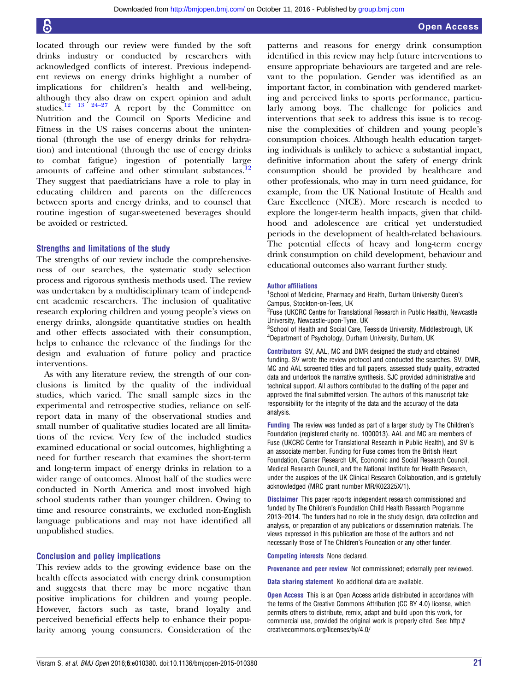<span id="page-21-0"></span>located through our review were funded by the soft drinks industry or conducted by researchers with acknowledged conflicts of interest. Previous independent reviews on energy drinks highlight a number of implications for children's health and well-being, although they also draw on expert opinion and adult studies.<sup>12</sup>  $\frac{13}{24-27}$  A report by the Committee on A report by the Committee on Nutrition and the Council on Sports Medicine and Fitness in the US raises concerns about the unintentional (through the use of energy drinks for rehydration) and intentional (through the use of energy drinks to combat fatigue) ingestion of potentially large amounts of caffeine and other stimulant substances.<sup>12</sup> They suggest that paediatricians have a role to play in educating children and parents on the differences between sports and energy drinks, and to counsel that routine ingestion of sugar-sweetened beverages should be avoided or restricted.

#### Strengths and limitations of the study

The strengths of our review include the comprehensiveness of our searches, the systematic study selection process and rigorous synthesis methods used. The review was undertaken by a multidisciplinary team of independent academic researchers. The inclusion of qualitative research exploring children and young people's views on energy drinks, alongside quantitative studies on health and other effects associated with their consumption, helps to enhance the relevance of the findings for the design and evaluation of future policy and practice interventions.

As with any literature review, the strength of our conclusions is limited by the quality of the individual studies, which varied. The small sample sizes in the experimental and retrospective studies, reliance on selfreport data in many of the observational studies and small number of qualitative studies located are all limitations of the review. Very few of the included studies examined educational or social outcomes, highlighting a need for further research that examines the short-term and long-term impact of energy drinks in relation to a wider range of outcomes. Almost half of the studies were conducted in North America and most involved high school students rather than younger children. Owing to time and resource constraints, we excluded non-English language publications and may not have identified all unpublished studies.

#### Conclusion and policy implications

This review adds to the growing evidence base on the health effects associated with energy drink consumption and suggests that there may be more negative than positive implications for children and young people. However, factors such as taste, brand loyalty and perceived beneficial effects help to enhance their popularity among young consumers. Consideration of the

patterns and reasons for energy drink consumption identified in this review may help future interventions to ensure appropriate behaviours are targeted and are relevant to the population. Gender was identified as an important factor, in combination with gendered marketing and perceived links to sports performance, particularly among boys. The challenge for policies and interventions that seek to address this issue is to recognise the complexities of children and young people's consumption choices. Although health education targeting individuals is unlikely to achieve a substantial impact, definitive information about the safety of energy drink consumption should be provided by healthcare and other professionals, who may in turn need guidance, for example, from the UK National Institute of Health and Care Excellence (NICE). More research is needed to explore the longer-term health impacts, given that childhood and adolescence are critical yet understudied periods in the development of health-related behaviours. The potential effects of heavy and long-term energy drink consumption on child development, behaviour and educational outcomes also warrant further study.

#### Author affiliations

<sup>1</sup>School of Medicine, Pharmacy and Health, Durham University Queen's Campus, Stockton-on-Tees, UK

<sup>2</sup>Fuse (UKCRC Centre for Translational Research in Public Health), Newcastle University, Newcastle-upon-Tyne, UK

<sup>3</sup>School of Health and Social Care, Teesside University, Middlesbrough, UK 4 Department of Psychology, Durham University, Durham, UK

Contributors SV, AAL, MC and DMR designed the study and obtained funding. SV wrote the review protocol and conducted the searches. SV, DMR, MC and AAL screened titles and full papers, assessed study quality, extracted data and undertook the narrative synthesis. SJC provided administrative and technical support. All authors contributed to the drafting of the paper and approved the final submitted version. The authors of this manuscript take responsibility for the integrity of the data and the accuracy of the data analysis.

Funding The review was funded as part of a larger study by The Children's Foundation (registered charity no. 1000013). AAL and MC are members of Fuse (UKCRC Centre for Translational Research in Public Health), and SV is an associate member. Funding for Fuse comes from the British Heart Foundation, Cancer Research UK, Economic and Social Research Council, Medical Research Council, and the National Institute for Health Research, under the auspices of the UK Clinical Research Collaboration, and is gratefully acknowledged (MRC grant number MR/K02325X/1).

Disclaimer This paper reports independent research commissioned and funded by The Children's Foundation Child Health Research Programme 2013–2014. The funders had no role in the study design, data collection and analysis, or preparation of any publications or dissemination materials. The views expressed in this publication are those of the authors and not necessarily those of The Children's Foundation or any other funder.

Competing interests None declared.

Provenance and peer review Not commissioned; externally peer reviewed.

Data sharing statement No additional data are available.

**Open Access** This is an Open Access article distributed in accordance with the terms of the Creative Commons Attribution (CC BY 4.0) license, which permits others to distribute, remix, adapt and build upon this work, for commercial use, provided the original work is properly cited. See: [http://](http://creativecommons.org/licenses/by/4.0/) [creativecommons.org/licenses/by/4.0/](http://creativecommons.org/licenses/by/4.0/)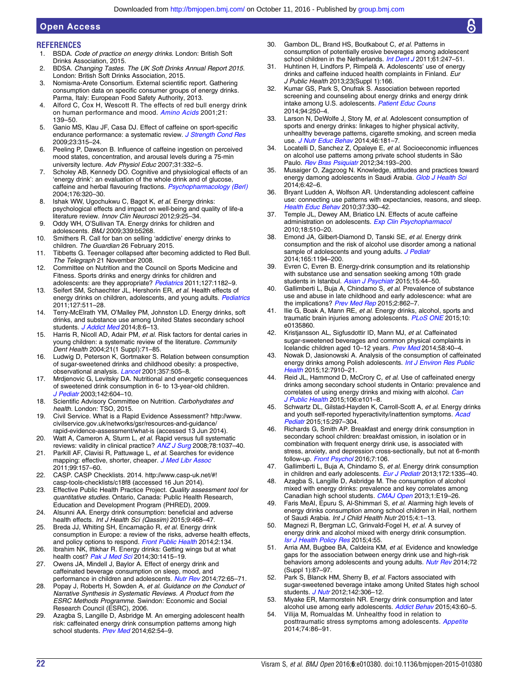#### **REFERENCES**

<span id="page-22-0"></span>Open Access

- 1. BSDA. Code of practice on energy drinks. London: British Soft Drinks Association, 2015.
- 2. BDSA. Changing Tastes. The UK Soft Drinks Annual Report 2015. London: British Soft Drinks Association, 2015.
- 3. Nomisma-Arete Consortium. External scientific report. Gathering consumption data on specific consumer groups of energy drinks. Parma, Italy: European Food Safety Authority, 2013.
- 4. Alford C, Cox H, Wescott R. The effects of red bull energy drink on human performance and mood. [Amino Acids](http://dx.doi.org/10.1007/s007260170021) 2001;21: 139–50.
- 5. Ganio MS, Klau JF, Casa DJ. Effect of caffeine on sport-specific endurance performance: a systematic review. [J Strength Cond Res](http://dx.doi.org/10.1519/JSC.0b013e31818b979a) 2009;23:315–24.
- 6. Peeling P, Dawson B. Influence of caffeine ingestion on perceived mood states, concentration, and arousal levels during a 75-min university lecture. Adv Physiol Educ 2007;31:332–5.
- 7. Scholey AB, Kennedy DO. Cognitive and physiological effects of an 'energy drink': an evaluation of the whole drink and of glucose, caffeine and herbal flavouring fractions. [Psychopharmacology \(Berl\)](http://dx.doi.org/10.1007/s00213-004-1935-2) 2004;176:320–30.
- 8. Ishak WW, Ugochukwu C, Bagot K, et al. Energy drinks: psychological effects and impact on well-being and quality of life-a literature review. Innov Clin Neurosci 2012;9:25–34.
- 9. Oddy WH, O'Sullivan TA. Energy drinks for children and adolescents. BMJ 2009;339:b5268.
- 10. Smithers R. Call for ban on selling 'addictive' energy drinks to children. The Guardian 26 February 2015.
- 11. Tibbetts G. Teenager collapsed after becoming addicted to Red Bull. The Telegraph 21 November 2008.
- 12. Committee on Nutrition and the Council on Sports Medicine and Fitness. Sports drinks and energy drinks for children and adolescents: are they appropriate? [Pediatrics](http://dx.doi.org/10.1542/peds.2011-0965) 2011;127:1182-9.
- 13. Seifert SM, Schaechter JL, Hershorin ER, et al. Health effects of energy drinks on children, adolescents, and young adults. [Pediatrics](http://dx.doi.org/10.1542/peds.2009-3592) 2011;127:511–28.
- 14. Terry-McElrath YM, O'Malley PM, Johnston LD. Energy drinks, soft drinks, and substance use among United States secondary school students. [J Addict Med](http://dx.doi.org/10.1097/01.ADM.0000435322.07020.53) 2014;8:6-13.
- 15. Harris R, Nicoll AD, Adair PM, et al. Risk factors for dental caries in young children: a systematic review of the literature. Community Dent Health 2004;21(1 Suppl):71–85.
- 16. Ludwig D, Peterson K, Gortmaker S. Relation between consumption of sugar-sweetened drinks and childhood obesity: a prospective, observational analysis. [Lancet](http://dx.doi.org/10.1016/S0140-6736(00)04041-1) 2001;357:505–8.
- 17. Mrdjenovic G, Levitsky DA. Nutritional and energetic consequences of sweetened drink consumption in 6- to 13-year-old children. [J Pediatr](http://dx.doi.org/10.1067/mpd.2003.200) 2003;142:604–10.
- 18. Scientific Advisory Committee on Nutrition. Carbohydrates and health. London: TSO, 2015.
- 19. Civil Service. What is a Rapid Evidence Assessment? [http://www.](http://www.civilservice.gov.uk/networks/gsr/resources-and-guidance/rapid-evidence-assessment/what-is) [civilservice.gov.uk/networks/gsr/resources-and-guidance/](http://www.civilservice.gov.uk/networks/gsr/resources-and-guidance/rapid-evidence-assessment/what-is) [rapid-evidence-assessment/what-is](http://www.civilservice.gov.uk/networks/gsr/resources-and-guidance/rapid-evidence-assessment/what-is) (accessed 13 Jun 2014).
- 20. Watt A, Cameron A, Sturm L, et al. Rapid versus full systematic reviews: validity in clinical practice? [ANZ J Surg](http://dx.doi.org/10.1111/j.1445-2197.2008.04730.x) 2008;78:1037-40.
- 21. Parkill AF, Clavisi R, Pattuwage L, et al. Searches for evidence mapping: effective, shorter, cheaper. [J Med Libr Assoc](http://dx.doi.org/10.3163/1536-5050.99.2.008) 2011;99:157–60.
- 22. CASP. CASP Checklists. 2014. [http://www.casp-uk.net/#!](http://www.casp-uk.net/#!casp-tools-checklists/c18f8) [casp-tools-checklists/c18f8](http://www.casp-uk.net/#!casp-tools-checklists/c18f8) (accessed 16 Jun 2014).
- 23. Effective Public Health Practice Project. Quality assessment tool for quantitative studies. Ontario, Canada: Public Health Research, Education and Development Program (PHRED), 2009.
- 24. Alsunni AA. Energy drink consumption: beneficial and adverse health effects. Int J Health Sci (Qassim) 2015;9:468-47
- 25. Breda JJ, Whiting SH, Encarnação R, et al. Energy drink consumption in Europe: a review of the risks, adverse health effects, and policy options to respond. [Front Public Health](http://dx.doi.org/10.3389/fpubh.2014.00134) 2014;2:134.
- 26. Ibrahim NK, Iftikhar R. Energy drinks: Getting wings but at what health cost? [Pak J Med Sci](http://dx.doi.org/10.12669/pjms.306.5396) 2014;30:1415-19.
- 27. Owens JA, Mindell J, Baylor A. Effect of energy drink and caffeinated beverage consumption on sleep, mood, and performance in children and adolescents. [Nutr Rev](http://dx.doi.org/10.1111/nure.12150) 2014;72:65-71.
- 28. Popay J, Roberts H, Sowden A, et al. Guidance on the Conduct of Narrative Synthesis in Systematic Reviews. A Product from the ESRC Methods Programme. Swindon: Economic and Social Research Council (ESRC), 2006.
- 29. Azagba S, Langille D, Asbridge M. An emerging adolescent health risk: caffeinated energy drink consumption patterns among high school students. [Prev Med](http://dx.doi.org/10.1016/j.ypmed.2014.01.019) 2014;62:54-9.
- 30. Gambon DL, Brand HS, Boutkabout C, et al. Patterns in consumption of potentially erosive beverages among adolescent school children in the Netherlands. [Int Dent J](http://dx.doi.org/10.1111/j.1875-595X.2011.00067.x) 2011;61:247-51.
- 31. Huhtinen H, Lindfors P, Rimpelä A. Adolescents' use of energy drinks and caffeine induced health complaints in Finland. Eur J Public Health 2013;23(Suppl 1):166.
- 32. Kumar GS, Park S, Onufrak S. Association between reported screening and counseling about energy drinks and energy drink intake among U.S. adolescents. [Patient Educ Couns](http://dx.doi.org/10.1016/j.pec.2013.09.026) 2014;94:250–4.
- 33. Larson N, DeWolfe J, Story M, et al. Adolescent consumption of sports and energy drinks: linkages to higher physical activity, unhealthy beverage patterns, cigarette smoking, and screen media use. *[J Nutr Educ Behav](http://dx.doi.org/10.1016/j.jneb.2014.02.008)* 2014;46:181-7.
- 34. Locatelli D, Sanchez Z, Opaleye E, et al. Socioeconomic influences on alcohol use patterns among private school students in São Paulo. [Rev Bras Psiquiatr](http://dx.doi.org/10.1590/S1516-44462012000200012) 2012;34:193-200.
- Musaiger O, Zagzoog N. Knowledge, attitudes and practices toward energy damong adolescents in Saudi Arabia. [Glob J Health Sci](http://dx.doi.org/10.5539/gjhs.v6n4p42)  $2014.642 - 6$
- 36. Bryant Ludden A, Wolfson AR. Understanding adolescent caffeine use: connecting use patterns with expectancies, reasons, and sleep. [Health Educ Behav](http://dx.doi.org/10.1177/1090198109341783) 2010;37:330–42.
- 37. Temple JL, Dewey AM, Briatico LN. Effects of acute caffeine administration on adolescents. [Exp Clin Psychopharmacol](http://dx.doi.org/10.1037/a0021651) 2010;18:510–20.
- 38. Emond JA, Gilbert-Diamond D, Tanski SE, et al. Energy drink consumption and the risk of alcohol use disorder among a national sample of adolescents and young adults. [J Pediatr](http://dx.doi.org/10.1016/j.jpeds.2014.08.050) 2014;165:1194–200.
- 39. Evren C, Evren B. Energy-drink consumption and its relationship with substance use and sensation seeking among 10th grade students in Istanbul. [Asian J Psychiatr](http://dx.doi.org/10.1016/j.ajp.2015.05.001) 2015:15:44-50.
- 40. Gallimberti L, Buja A, Chindamo S, et al. Prevalence of substance use and abuse in late childhood and early adolescence: what are the implications? [Prev Med Rep](http://dx.doi.org/10.1016/j.pmedr.2015.09.018) 2015;2:862-7.
- Ilie G, Boak A, Mann RE, et al. Energy drinks, alcohol, sports and traumatic brain injuries among adolescents. [PLoS ONE](http://dx.doi.org/10.1371/journal.pone.0135860) 2015;10: e0135860.
- 42. Kristjansson AL, Sigfusdottir ID, Mann MJ, et al. Caffeinated sugar-sweetened beverages and common physical complaints in Icelandic children aged 10-12 years. [Prev Med](http://dx.doi.org/10.1016/j.ypmed.2013.10.011) 2014;58:40-4.
- 43. Nowak D, Jasionowski A. Analysis of the consumption of caffeinated energy drinks among Polish adolescents. [Int J Environ Res Public](http://dx.doi.org/10.3390/ijerph120707910) [Health](http://dx.doi.org/10.3390/ijerph120707910) 2015;12:7910–21.
- 44. Reid JL, Hammond D, McCrory C, et al. Use of caffeinated energy drinks among secondary school students in Ontario: prevalence and correlates of using energy drinks and mixing with alcohol. [Can](http://dx.doi.org/10.17269/cjph.106.4684) [J Public Health](http://dx.doi.org/10.17269/cjph.106.4684) 2015;106:e101–8.
- 45. Schwartz DL, Gilstad-Hayden K, Carroll-Scott A, et al. Energy drinks and youth self-reported hyperactivity/inattention symptoms. [Acad](http://dx.doi.org/10.1016/j.acap.2014.11.006) [Pediatr](http://dx.doi.org/10.1016/j.acap.2014.11.006) 2015;15:297–304.
- 46. Richards G, Smith AP. Breakfast and energy drink consumption in secondary school children: breakfast omission, in isolation or in combination with frequent energy drink use, is associated with stress, anxiety, and depression cross-sectionally, but not at 6-month follow-up. [Front Psychol](http://dx.doi.org/10.3389/fpsyg.2016.00106) 2016;7:106.
- 47. Gallimberti L, Buja A, Chindamo S, et al. Energy drink consumption in children and early adolescents. [Eur J Pediatr](http://dx.doi.org/10.1007/s00431-013-2036-1) 2013;172:1335-40.
- Azagba S, Langille D, Asbridge M. The consumption of alcohol mixed with energy drinks: prevalence and key correlates among Canadian high school students. [CMAJ Open](http://dx.doi.org/10.9778/cmajo.20120017) 2013;1:E19–26.
- 49. Faris MeAI, Epuru S, Al-Shimmari S, et al. Alarming high levels of energy drinks consumption among school children in Hail, northern of Saudi Arabia. Int J Child Health Nutr 2015;4:1-13.
- 50. Magnezi R, Bergman LC, Grinvald-Fogel H, et al. A survey of energy drink and alcohol mixed with energy drink consumption. [Isr J Health Policy Res](http://dx.doi.org/10.1186/s13584-015-0052-5) 2015;4:55.
- 51. Arria AM, Bugbee BA, Caldeira KM, et al. Evidence and knowledge gaps for the association between energy drink use and high-risk behaviors among adolescents and young adults. [Nutr Rev](http://dx.doi.org/10.1111/nure.12129) 2014;72 (Suppl 1):87–97.
- 52. Park S, Blanck HM, Sherry B, et al. Factors associated with sugar-sweetened beverage intake among United States high school students. *[J Nutr](http://dx.doi.org/10.3945/jn.111.148536)* 2012;142:306-12.
- 53. Miyake ER, Marmorstein NR. Energy drink consumption and later alcohol use among early adolescents. [Addict Behav](http://dx.doi.org/10.1016/j.addbeh.2014.12.009) 2015;43:60-5.
- 54. Vilija M, Romualdas M. Unhealthy food in relation to posttraumatic stress symptoms among adolescents. [Appetite](http://dx.doi.org/10.1016/j.appet.2013.12.002) 2014;74:86–91.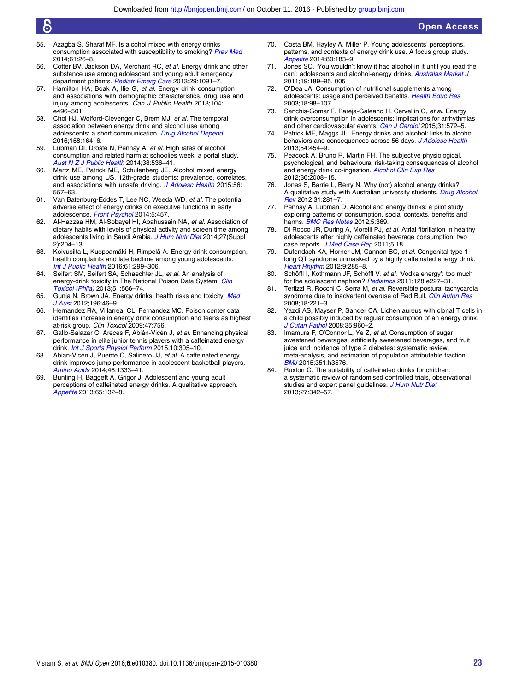- 55. Azagba S, Sharaf MF. Is alcohol mixed with energy drinks consumption associated with susceptibility to smoking? [Prev Med](http://dx.doi.org/10.1016/j.ypmed.2014.01.013) 2014;61:26–8.
- 56. Cotter BV, Jackson DA, Merchant RC, et al. Energy drink and other substance use among adolescent and young adult emergency department patients. [Pediatr Emerg Care](http://dx.doi.org/10.1097/PEC.0b013e3182a6403d) 2013;29:1091-7.
- 57. Hamilton HA, Boak A, Ilie G, et al. Energy drink consumption and associations with demographic characteristics, drug use and injury among adolescents. Can J Public Health 2013;104: e496–501.
- 58. Choi HJ, Wolford-Clevenger C, Brem MJ, et al. The temporal association between energy drink and alcohol use among adolescents: a short communication. [Drug Alcohol Depend](http://dx.doi.org/10.1016/j.drugalcdep.2015.11.009) 2016;158:164–6.
- 59. Lubman DI, Droste N, Pennay A, et al. High rates of alcohol consumption and related harm at schoolies week: a portal study. [Aust N Z J Public Health](http://dx.doi.org/10.1111/1753-6405.12266) 2014;38:536-41.
- 60. Martz ME, Patrick ME, Schulenberg JE. Alcohol mixed energy drink use among US. 12th-grade students: prevalence, correlates, and associations with unsafe driving. [J Adolesc Health](http://dx.doi.org/10.1016/j.jadohealth.2015.01.019) 2015;56: 557–63.
- 61. Van Batenburg-Eddes T, Lee NC, Weeda WD, et al. The potential adverse effect of energy drinks on executive functions in early adolescence. [Front Psychol](http://dx.doi.org/10.3389/fpsyg.2014.00457) 2014;5:457.
- 62. Al-Hazzaa HM, Al-Sobayel HI, Abahussain NA, et al. Association of dietary habits with levels of physical activity and screen time among adolescents living in Saudi Arabia. [J Hum Nutr Diet](http://dx.doi.org/10.1111/jhn.12147) 2014;27(Suppl 2):204–13.
- 63. Koivusilta L, Kuoppamäki H, Rimpelä A. Energy drink consumption, health complaints and late bedtime among young adolescents. [Int J Public Health](http://dx.doi.org/10.1007/s00038-016-0797-9) 2016;61:299–306.
- 64. Seifert SM, Seifert SA, Schaechter JL, et al. An analysis of energy-drink toxicity in The National Poison Data System. [Clin](http://dx.doi.org/10.3109/15563650.2013.820310) [Toxicol \(Phila\)](http://dx.doi.org/10.3109/15563650.2013.820310) 2013;51:566–74.
- 65. Gunja N, Brown JA. Energy drinks: health risks and toxicity. [Med](http://dx.doi.org/10.5694/mja11.10838) [J Aust](http://dx.doi.org/10.5694/mja11.10838) 2012;196:46-9.
- 66. Hernandez RA, Villarreal CL, Fernandez MC. Poison center data identifies increase in energy drink consumption and teens as highest at-risk group. Clin Toxicol 2009;47:756.
- 67. Gallo-Salazar C, Areces F, Abián-Vicén J, et al. Enhancing physical performance in elite junior tennis players with a caffeinated energy drink. *[Int J Sports Physiol Perform](http://dx.doi.org/10.1123/ijspp.2014-0103)* 2015;10:305-10.
- 68. Abian-Vicen J, Puente C, Salinero JJ, et al. A caffeinated energy drink improves jump performance in adolescent basketball players. [Amino Acids](http://dx.doi.org/10.1007/s00726-014-1702-6) 2014;46:1333-41.
- 69. Bunting H, Baggett A, Grigor J. Adolescent and young adult perceptions of caffeinated energy drinks. A qualitative approach. [Appetite](http://dx.doi.org/10.1016/j.appet.2013.02.011) 2013;65:132–8.
- 70. Costa BM, Hayley A, Miller P. Young adolescents' perceptions, patterns, and contexts of energy drink use. A focus group study. [Appetite](http://dx.doi.org/10.1016/j.appet.2014.05.013) 2014;80:183-9.
- 71. Jones SC. 'You wouldn't know it had alcohol in it until you read the can': adolescents and alcohol-energy drinks. [Australas Market J](http://dx.doi.org/10.1016/j.ausmj.2011.05.) 2011;19:189–95. 005
- 72. O'Dea JA. Consumption of nutritional supplements among adolescents: usage and perceived benefits. [Health Educ Res](http://dx.doi.org/10.1093/her/18.1.98) 2003;18:98–107.
- 73. Sanchis-Gomar F, Pareja-Galeano H, Cervellin G, et al. Energy drink overconsumption in adolescents: implications for arrhythmias and other cardiovascular events. [Can J Cardiol](http://dx.doi.org/10.1016/j.cjca.2014.12.019) 2015;31:572-5.
- Patrick ME, Maggs JL. Energy drinks and alcohol: links to alcohol behaviors and consequences across 56 days. *[J Adolesc Health](http://dx.doi.org/10.1016/j.jadohealth.2013.09.013)* 2013;54:454–9.
- 75. Peacock A, Bruno R, Martin FH. The subjective physiological, psychological, and behavioural risk-taking consequences of alcohol and energy drink co-ingestion. [Alcohol Clin Exp Res](http://dx.doi.org/10.1111/j.1530-0277.2012.01820.x) 2012;36:2008–15.
- 76. Jones S, Barrie L, Berry N. Why (not) alcohol energy drinks? A qualitative study with Australian university students. [Drug Alcohol](http://dx.doi.org/10.1111/j.1465-3362.2011.00319.x) [Rev](http://dx.doi.org/10.1111/j.1465-3362.2011.00319.x) 2012;31:281–7.
- Pennay A, Lubman D. Alcohol and energy drinks: a pilot study exploring patterns of consumption, social contexts, benefits and harms. **[BMC Res Notes](http://dx.doi.org/10.1186/1756-0500-5-369)** 2012:5:369.
- 78. Di Rocco JR, During A, Morelli PJ, et al. Atrial fibrillation in healthy adolescents after highly caffeinated beverage consumption: two case reports. [J Med Case Rep](http://dx.doi.org/10.1186/1752-1947-5-18) 2011;5:18.
- 79. Dufendach KA, Horner JM, Cannon BC, et al. Congenital type 1 long QT syndrome unmasked by a highly caffeinated energy drink. [Heart Rhythm](http://dx.doi.org/10.1016/j.hrthm.2011.10.011) 2012;9:285-8.
- 80. Schöffl I, Kothmann JF, Schöffl V, et al. 'Vodka energy': too much for the adolescent nephron? [Pediatrics](http://dx.doi.org/10.1542/peds.2010-2677) 2011:128:e227-31.
- 81. Terlizzi R, Rocchi C, Serra M, et al. Reversible postural tachycardia syndrome due to inadvertent overuse of Red Bull. [Clin Auton Res](http://dx.doi.org/10.1007/s10286-008-0483-y) 2008;18:221–3.
- Yazdi AS, Mayser P, Sander CA. Lichen aureus with clonal T cells in a child possibly induced by regular consumption of an energy drink. [J Cutan Pathol](http://dx.doi.org/10.1111/j.1600-0560.2007.00918.x) 2008;35:960–2.
- 83. Imamura F, O'Connor L, Ye Z, et al. Consumption of sugar sweetened beverages, artificially sweetened beverages, and fruit juice and incidence of type 2 diabetes: systematic review, meta-analysis, and estimation of population attributable fraction. [BMJ](http://dx.doi.org/10.1136/bmj.h3576) 2015;351:h3576.
- 84. Ruxton C. The suitability of caffeinated drinks for children: a systematic review of randomised controlled trials, observational studies and expert panel quidelines. [J Hum Nutr Diet](http://dx.doi.org/10.1111/jhn.12172) 2013;27:342–57.